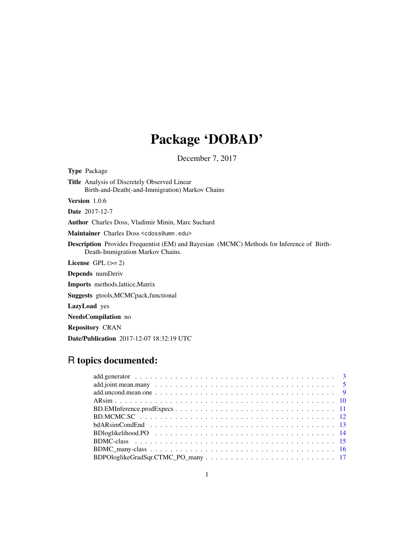# Package 'DOBAD'

December 7, 2017

Type Package Title Analysis of Discretely Observed Linear Birth-and-Death(-and-Immigration) Markov Chains Version 1.0.6 Date 2017-12-7 Author Charles Doss, Vladimir Minin, Marc Suchard Maintainer Charles Doss <cdoss@umn.edu> Description Provides Frequentist (EM) and Bayesian (MCMC) Methods for Inference of Birth-Death-Immigration Markov Chains. License GPL  $(>= 2)$ Depends numDeriv Imports methods,lattice,Matrix Suggests gtools,MCMCpack,functional LazyLoad yes NeedsCompilation no Repository CRAN Date/Publication 2017-12-07 18:32:19 UTC

# R topics documented: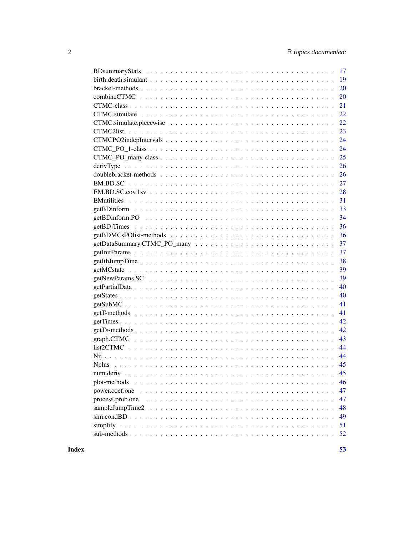|                | 17       |
|----------------|----------|
|                |          |
|                | 20       |
|                | 20       |
|                | 21       |
|                | 22       |
|                | 22       |
|                |          |
|                | 24       |
|                | 24       |
|                | 25       |
|                | 26       |
|                | 26       |
|                | 27       |
|                | 28       |
|                | 31       |
|                | 33       |
|                | 34       |
|                | 36       |
|                | 36       |
|                | 37       |
|                | 37       |
|                |          |
|                |          |
|                | 38       |
|                | 39       |
|                | 39       |
|                | 40       |
|                | 40       |
|                | 41       |
|                | 41       |
|                | 42       |
|                | 42       |
|                | 43       |
|                | 44       |
|                | 44       |
|                | 45       |
| num.deriv      | 45       |
| plot-methods   | 46       |
| power.coef.one | 47       |
|                | 47       |
|                | 48       |
|                | 49       |
|                | 51<br>52 |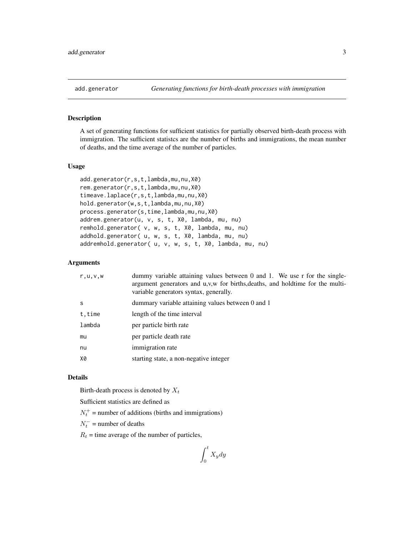<span id="page-2-1"></span><span id="page-2-0"></span>

A set of generating functions for sufficient statistics for partially observed birth-death process with immigration. The sufficient statistcs are the number of births and immigrations, the mean number of deaths, and the time average of the number of particles.

#### Usage

```
add.generator(r,s,t,lambda,mu,nu,X0)
rem.generator(r,s,t,lambda,mu,nu,X0)
timeave.laplace(r,s,t,lambda,mu,nu,X0)
hold.generator(w,s,t,lambda,mu,nu,X0)
process.generator(s,time,lambda,mu,nu,X0)
addrem.generator(u, v, s, t, X0, lambda, mu, nu)
remhold.generator( v, w, s, t, X0, lambda, mu, nu)
addhold.generator( u, w, s, t, X0, lambda, mu, nu)
addremhold.generator( u, v, w, s, t, X0, lambda, mu, nu)
```
## Arguments

| r, u, v, w | dummy variable attaining values between 0 and 1. We use $r$ for the single-<br>argument generators and u,v,w for births, deaths, and holdtime for the multi-<br>variable generators syntax, generally. |
|------------|--------------------------------------------------------------------------------------------------------------------------------------------------------------------------------------------------------|
| S          | dummary variable attaining values between 0 and 1                                                                                                                                                      |
| t, time    | length of the time interval                                                                                                                                                                            |
| lambda     | per particle birth rate                                                                                                                                                                                |
| mu         | per particle death rate                                                                                                                                                                                |
| nu         | immigration rate                                                                                                                                                                                       |
| X0         | starting state, a non-negative integer                                                                                                                                                                 |

## Details

Birth-death process is denoted by  $X_t$ 

Sufficient statistics are defined as

 $N_t^+$  = number of additions (births and immigrations)

 $N_t^-$  = number of deaths

 $R_t$  = time average of the number of particles,

$$
\int_0^t X_y dy
$$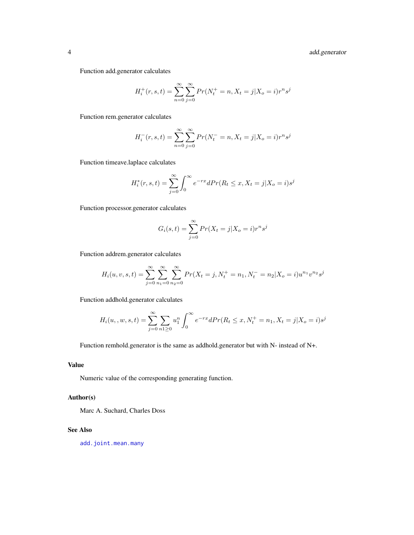<span id="page-3-0"></span>4 add.generator

Function add.generator calculates

$$
H_i^+(r, s, t) = \sum_{n=0}^{\infty} \sum_{j=0}^{\infty} Pr(N_t^+ = n, X_t = j | X_o = i) r^n s^j
$$

Function rem.generator calculates

$$
H_i^-(r, s, t) = \sum_{n=0}^{\infty} \sum_{j=0}^{\infty} Pr(N_t^- = n, X_t = j | X_o = i) r^n s^j
$$

Function timeave.laplace calculates

$$
H_i^*(r, s, t) = \sum_{j=0}^{\infty} \int_0^{\infty} e^{-rx} dPr(R_t \le x, X_t = j | X_o = i) s^j
$$

Function processor.generator calculates

$$
G_i(s,t) = \sum_{j=0}^{\infty} Pr(X_t = j | X_o = i) r^n s^j
$$

Function addrem.generator calculates

$$
H_i(u, v, s, t) = \sum_{j=0}^{\infty} \sum_{n_1=0}^{\infty} \sum_{n_2=0}^{\infty} Pr(X_t = j, N_t^+ = n_1, N_t^- = n_2 | X_o = i) u^{n_1} v^{n_2} s^j
$$

Function addhold.generator calculates

$$
H_i(u_1, w, s, t) = \sum_{j=0}^{\infty} \sum_{n=1}^{\infty} u_1^n \int_0^{\infty} e^{-rx} dPr(R_t \le x, N_t^+ = n_1, X_t = j | X_o = i) s^j
$$

Function remhold.generator is the same as addhold.generator but with N- instead of N+.

# Value

Numeric value of the corresponding generating function.

# Author(s)

Marc A. Suchard, Charles Doss

#### See Also

[add.joint.mean.many](#page-4-1)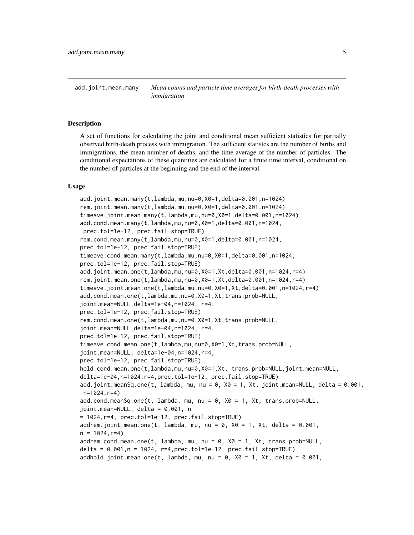<span id="page-4-1"></span><span id="page-4-0"></span>add.joint.mean.many *Mean counts and particle time averages for birth-death processes with immigration*

## <span id="page-4-2"></span>**Description**

A set of functions for calculating the joint and conditional mean sufficient statistics for partially observed birth-death process with immigration. The sufficient statistcs are the number of births and immigrations, the mean number of deaths, and the time average of the number of particles. The conditional expectations of these quantities are calculated for a finite time interval, conditional on the number of particles at the beginning and the end of the interval.

#### Usage

```
add.joint.mean.many(t,lambda,mu,nu=0,X0=1,delta=0.001,n=1024)
rem.joint.mean.many(t,lambda,mu,nu=0,X0=1,delta=0.001,n=1024)
timeave.joint.mean.many(t,lambda,mu,nu=0,X0=1,delta=0.001,n=1024)
add.cond.mean.many(t,lambda,mu,nu=0,X0=1,delta=0.001,n=1024,
prec.tol=1e-12, prec.fail.stop=TRUE)
rem.cond.mean.many(t,lambda,mu,nu=0,X0=1,delta=0.001,n=1024,
prec.tol=1e-12, prec.fail.stop=TRUE)
timeave.cond.mean.many(t,lambda,mu,nu=0,X0=1,delta=0.001,n=1024,
prec.tol=1e-12, prec.fail.stop=TRUE)
add.joint.mean.one(t,lambda,mu,nu=0,X0=1,Xt,delta=0.001,n=1024,r=4)
rem.joint.mean.one(t,lambda,mu,nu=0,X0=1,Xt,delta=0.001,n=1024,r=4)
timeave.joint.mean.one(t,lambda,mu,nu=0,X0=1,Xt,delta=0.001,n=1024,r=4)
add.cond.mean.one(t,lambda,mu,nu=0,X0=1,Xt,trans.prob=NULL,
joint.mean=NULL,delta=1e-04,n=1024, r=4,
prec.tol=1e-12, prec.fail.stop=TRUE)
rem.cond.mean.one(t,lambda,mu,nu=0,X0=1,Xt,trans.prob=NULL,
joint.mean=NULL,delta=1e-04,n=1024, r=4,
prec.tol=1e-12, prec.fail.stop=TRUE)
timeave.cond.mean.one(t,lambda,mu,nu=0,X0=1,Xt,trans.prob=NULL,
joint.mean=NULL, delta=1e-04,n=1024,r=4,
prec.tol=1e-12, prec.fail.stop=TRUE)
hold.cond.mean.one(t,lambda,mu,nu=0,X0=1,Xt, trans.prob=NULL,joint.mean=NULL,
delta=1e-04,n=1024,r=4,prec.tol=1e-12, prec.fail.stop=TRUE)
add.joint.meanSq.one(t, lambda, mu, nu = 0, X0 = 1, Xt, joint.mean=NULL, delta = 0.001,
n=1024,r=4)
add.cond.meanSq.one(t, lambda, mu, nu = 0, X0 = 1, Xt, trans.prob=NULL,
joint.mean=NULL, delta = 0.001, n
= 1024,r=4, prec.tol=1e-12, prec.fail.stop=TRUE)
addrem.joint.mean.one(t, lambda, mu, nu = 0, X0 = 1, Xt, delta = 0.001,n = 1024, r=4addrem.cond.mean.one(t, lambda, mu, nu = 0, X0 = 1, Xt, trans.prob=NULL,
delta = 0.001,n = 1024, r=4,prec.tol=1e-12, prec.fail.stop=TRUE)
addhold.joint.mean.one(t, lambda, mu, nu = 0, X0 = 1, Xt, delta = 0.001,
```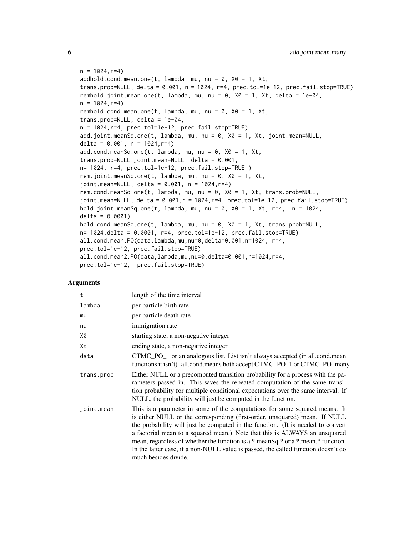```
n = 1024, r=4addhold.cond.mean.one(t, lambda, mu, nu = 0, X0 = 1, Xt,
trans.prob=NULL, delta = 0.001, n = 1024, r=4, prec.tol=1e-12, prec.fail.stop=TRUE)remhold.joint.mean.one(t, lambda, mu, nu = 0, X0 = 1, Xt, delta = 1e-04,
n = 1024, r=4remhold.cond.mean.one(t, lambda, mu, nu = 0, X0 = 1, Xt,
trans.prob=NULL, delta = 1e-04,
n = 1024,r=4, prec.tol=1e-12, prec.fail.stop=TRUE)
add.joint.meanSq.one(t, lambda, mu, nu = 0, X0 = 1, Xt, joint.mean=NULL,
delta = 0.001, n = 1024, r=4)
add.cond.meanSq.one(t, lambda, mu, nu = 0, X0 = 1, Xt,
trans.prob=NULL,joint.mean=NULL, delta = 0.001,
n= 1024, r=4, prec.tol=1e-12, prec.fail.stop=TRUE )
rem.joint.meanSq.one(t, lambda, mu, nu = 0, X0 = 1, Xt,
joint.mean=NULL, delta = 0.001, n = 1024,r=4)
rem.cond.meanSq.one(t, lambda, mu, nu = 0, X0 = 1, Xt, trans.prob=NULL,
joint.mean=NULL, delta = 0.001,n = 1024,r=4, prec.tol=1e-12, prec.fail.stop=TRUE)
hold.joint.meanSq.one(t, lambda, mu, nu = 0, X0 = 1, Xt, r=4, n = 1024,
delta = 0.0001)
hold.cond.meanSq.one(t, lambda, mu, nu = 0, X0 = 1, Xt, trans.prob=NULL,
n= 1024,delta = 0.0001, r=4, prec.tol=1e-12, prec.fail.stop=TRUE)
all.cond.mean.PO(data,lambda,mu,nu=0,delta=0.001,n=1024, r=4,
prec.tol=1e-12, prec.fail.stop=TRUE)
all.cond.mean2.PO(data,lambda,mu,nu=0,delta=0.001,n=1024,r=4,
prec.tol=1e-12, prec.fail.stop=TRUE)
```
## Arguments

| $\mathsf{t}$ | length of the time interval                                                                                                                                                                                                                                                                                                                                                                                                                                                                                                     |
|--------------|---------------------------------------------------------------------------------------------------------------------------------------------------------------------------------------------------------------------------------------------------------------------------------------------------------------------------------------------------------------------------------------------------------------------------------------------------------------------------------------------------------------------------------|
| lambda       | per particle birth rate                                                                                                                                                                                                                                                                                                                                                                                                                                                                                                         |
| mu           | per particle death rate                                                                                                                                                                                                                                                                                                                                                                                                                                                                                                         |
| nu           | immigration rate                                                                                                                                                                                                                                                                                                                                                                                                                                                                                                                |
| Х0           | starting state, a non-negative integer                                                                                                                                                                                                                                                                                                                                                                                                                                                                                          |
| Xt           | ending state, a non-negative integer                                                                                                                                                                                                                                                                                                                                                                                                                                                                                            |
| data         | CTMC_PO_1 or an analogous list. List isn't always accepted (in all.cond.mean<br>functions it isn't). all.cond.means both accept CTMC_PO_1 or CTMC_PO_many.                                                                                                                                                                                                                                                                                                                                                                      |
| trans.prob   | Either NULL or a precomputed transition probability for a process with the pa-<br>rameters passed in. This saves the repeated computation of the same transi-<br>tion probability for multiple conditional expectations over the same interval. If<br>NULL, the probability will just be computed in the function.                                                                                                                                                                                                              |
| joint.mean   | This is a parameter in some of the computations for some squared means. It<br>is either NULL or the corresponding (first-order, unsquared) mean. If NULL<br>the probability will just be computed in the function. (It is needed to convert<br>a factorial mean to a squared mean.) Note that this is ALWAYS an unsquared<br>mean, regardless of whether the function is a $*$ mean Sq.* or a $*$ mean.* function.<br>In the latter case, if a non-NULL value is passed, the called function doesn't do<br>much besides divide. |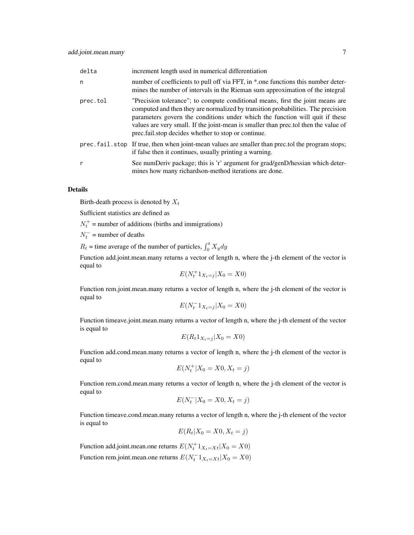| delta    | increment length used in numerical differentiation                                                                                                                                                                                                                                                                                                                                               |
|----------|--------------------------------------------------------------------------------------------------------------------------------------------------------------------------------------------------------------------------------------------------------------------------------------------------------------------------------------------------------------------------------------------------|
| n        | number of coefficients to pull off via FFT, in *.one functions this number deter-<br>mines the number of intervals in the Rieman sum approximation of the integral                                                                                                                                                                                                                               |
| prec.tol | "Precision tolerance"; to compute conditional means, first the joint means are<br>computed and then they are normalized by transition probabilities. The precision<br>parameters govern the conditions under which the function will quit if these<br>values are very small. If the joint-mean is smaller than prec.tol then the value of<br>prec.fail.stop decides whether to stop or continue. |
|          | prec. fail. stop If true, then when joint-mean values are smaller than prec. tol the program stops;<br>if false then it continues, usually printing a warning.                                                                                                                                                                                                                                   |
| r        | See numDeriv package; this is 'r' argument for grad/genD/hessian which deter-<br>mines how many richardson-method iterations are done.                                                                                                                                                                                                                                                           |

## Details

Birth-death process is denoted by  $X_t$ 

Sufficient statistics are defined as

 $N_t^+$  = number of additions (births and immigrations)

 $N_t^-$  = number of deaths

 $R_t$  = time average of the number of particles,  $\int_0^t X_y dy$ 

Function add.joint.mean.many returns a vector of length n, where the j-th element of the vector is equal to

$$
E(N_t^+ 1_{X_t=j} | X_0 = X0)
$$

Function rem.joint.mean.many returns a vector of length n, where the j-th element of the vector is equal to

$$
E(N_t^-1_{X_t=j}|X_0=X0)
$$

Function timeave.joint.mean.many returns a vector of length n, where the j-th element of the vector is equal to

$$
E(R_t 1_{X_t=j} | X_0 = X0)
$$

Function add.cond.mean.many returns a vector of length n, where the j-th element of the vector is equal to

$$
E(N_t^+|X_0=X0,X_t=j)
$$

Function rem.cond.mean.many returns a vector of length n, where the j-th element of the vector is equal to

$$
E(N_t^- | X_0 = X0, X_t = j)
$$

Function timeave.cond.mean.many returns a vector of length n, where the j-th element of the vector is equal to

$$
E(R_t|X_0=X0,X_t=j)
$$

Function add.joint.mean.one returns  $E(N_t^+ 1_{X_t=X_t}|X_0=X_0)$ Function rem.joint.mean.one returns  $E(N_t^{-1}X_{t=X_t}|X_0=X_0)$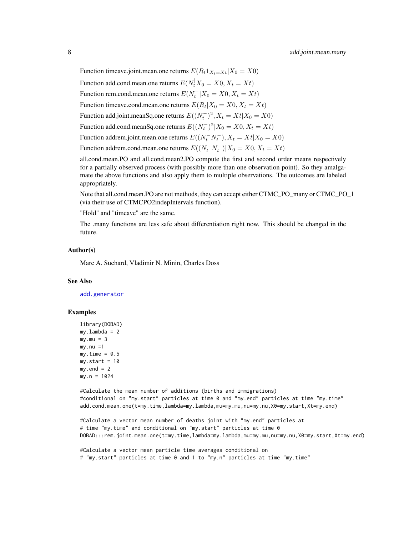<span id="page-7-0"></span>Function timeave.joint.mean.one returns  $E(R_t 1_{X_t=X_t}|X_0 = X0)$ Function add.cond.mean.one returns  $E(N_t^{\dagger} X_0 = X0, X_t = Xt)$ Function rem.cond.mean.one returns  $E(N_t^-|X_0=X0, X_t=Xt)$ Function timeave.cond.mean.one returns  $E(R_t|X_0 = X0, X_t = Xt)$ Function add.joint.meanSq.one returns  $E((N_t^-)^2, X_t = Xt | X_0 = X0)$ Function add.cond.meanSq.one returns  $E((N_t^-)^2 | X_0 = X0, X_t = Xt)$ Function addrem.joint.mean.one returns  $E((N_t^- N_t^-), X_t = Xt | X_0 = X0)$ Function addrem.cond.mean.one returns  $E((N_t^- N_t^-)|X_0 = X0, X_t = Xt)$ 

all.cond.mean.PO and all.cond.mean2.PO compute the first and second order means respectively for a partially observed process (with possibly more than one observation point). So they amalgamate the above functions and also apply them to multiple observations. The outcomes are labeled appropriately.

Note that all.cond.mean.PO are not methods, they can accept either CTMC\_PO\_many or CTMC\_PO\_1 (via their use of CTMCPO2indepIntervals function).

"Hold" and "timeave" are the same.

The .many functions are less safe about differentiation right now. This should be changed in the future.

#### Author(s)

Marc A. Suchard, Vladimir N. Minin, Charles Doss

#### See Also

[add.generator](#page-2-1)

#### Examples

```
library(DOBAD)
my.lambda = 2
my.mu = 3my.nu =1my.time = 0.5my.start = 10my.end = 2my.n = 1024
```
#Calculate the mean number of additions (births and immigrations) #conditional on "my.start" particles at time 0 and "my.end" particles at time "my.time" add.cond.mean.one(t=my.time,lambda=my.lambda,mu=my.mu,nu=my.nu,X0=my.start,Xt=my.end)

#Calculate a vector mean number of deaths joint with "my.end" particles at # time "my.time" and conditional on "my.start" particles at time 0 DOBAD:::rem.joint.mean.one(t=my.time,lambda=my.lambda,mu=my.mu,nu=my.nu,X0=my.start,Xt=my.end)

#Calculate a vector mean particle time averages conditional on # "my.start" particles at time 0 and 1 to "my.n" particles at time "my.time"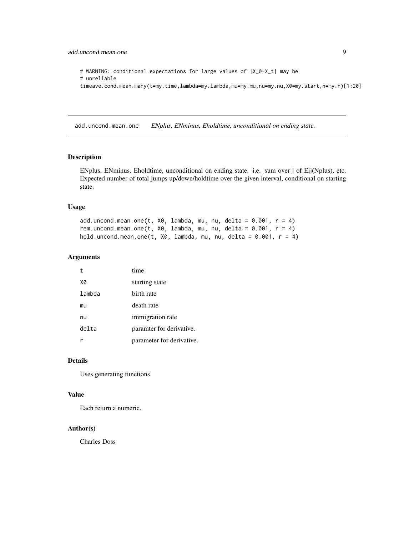```
# WARNING: conditional expectations for large values of |X_0-X_t| may be
# unreliable
timeave.cond.mean.many(t=my.time,lambda=my.lambda,mu=my.mu,nu=my.nu,X0=my.start,n=my.n)[1:20]
```
add.uncond.mean.one *ENplus, ENminus, Eholdtime, unconditional on ending state.*

#### Description

ENplus, ENminus, Eholdtime, unconditional on ending state. i.e. sum over j of Eij(Nplus), etc. Expected number of total jumps up/down/holdtime over the given interval, conditional on starting state.

#### Usage

add.uncond.mean.one(t,  $X\emptyset$ , lambda, mu, nu, delta = 0.001,  $r = 4$ ) rem.uncond.mean.one(t,  $X0$ , lambda, mu, nu, delta = 0.001, r = 4) hold.uncond.mean.one(t,  $X\theta$ , lambda, mu, nu, delta = 0.001,  $r = 4$ )

## Arguments

| t      | time                      |
|--------|---------------------------|
| X0     | starting state            |
| lambda | birth rate                |
| mu     | death rate                |
| nu     | immigration rate          |
| delta  | paramter for derivative.  |
|        | parameter for derivative. |

## Details

Uses generating functions.

## Value

Each return a numeric.

#### Author(s)

Charles Doss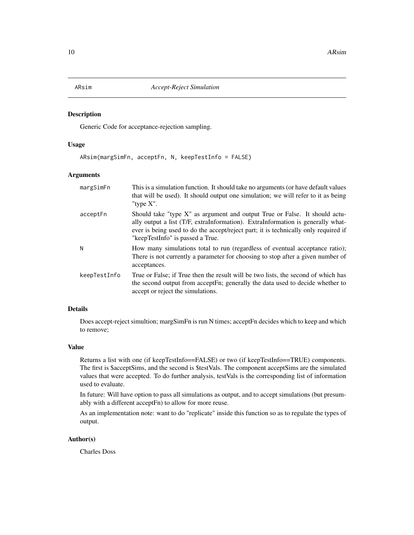Generic Code for acceptance-rejection sampling.

## Usage

ARsim(margSimFn, acceptFn, N, keepTestInfo = FALSE)

# Arguments

| margSimFn    | This is a simulation function. It should take no arguments (or have default values<br>that will be used). It should output one simulation; we will refer to it as being<br>"type $X$ ".                                                                                                  |
|--------------|------------------------------------------------------------------------------------------------------------------------------------------------------------------------------------------------------------------------------------------------------------------------------------------|
| acceptFn     | Should take "type X" as argument and output True or False. It should actu-<br>ally output a list (T/F, extraInformation). ExtraInformation is generally what-<br>ever is being used to do the accept/reject part; it is technically only required if<br>"keepTestInfo" is passed a True. |
| N            | How many simulations total to run (regardless of eventual acceptance ratio);<br>There is not currently a parameter for choosing to stop after a given number of<br>acceptances.                                                                                                          |
| keepTestInfo | True or False; if True then the result will be two lists, the second of which has<br>the second output from acceptFn; generally the data used to decide whether to<br>accept or reject the simulations.                                                                                  |

## Details

Does accept-reject simultion; margSimFn is run N times; acceptFn decides which to keep and which to remove;

## Value

Returns a list with one (if keepTestInfo==FALSE) or two (if keepTestInfo==TRUE) components. The first is \$acceptSims, and the second is \$testVals. The component acceptSims are the simulated values that were accepted. To do further analysis, testVals is the corresponding list of information used to evaluate.

In future: Will have option to pass all simulations as output, and to accept simulations (but presumably with a different acceptFn) to allow for more reuse.

As an implementation note: want to do "replicate" inside this function so as to regulate the types of output.

# Author(s)

Charles Doss

<span id="page-9-0"></span>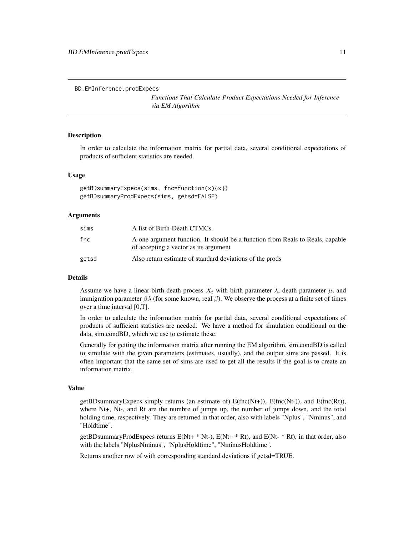<span id="page-10-0"></span>BD.EMInference.prodExpecs

*Functions That Calculate Product Expectations Needed for Inference via EM Algorithm*

#### **Description**

In order to calculate the information matrix for partial data, several conditional expectations of products of sufficient statistics are needed.

#### Usage

```
getBDsummaryExpecs(sims, fnc=function(x){x})
getBDsummaryProdExpecs(sims, getsd=FALSE)
```
#### Arguments

| sims  | A list of Birth-Death CTMCs.                                                                                           |
|-------|------------------------------------------------------------------------------------------------------------------------|
| fnc   | A one argument function. It should be a function from Reals to Reals, capable<br>of accepting a vector as its argument |
| getsd | Also return estimate of standard deviations of the prods                                                               |

#### Details

Assume we have a linear-birth-death process  $X_t$  with birth parameter  $\lambda$ , death parameter  $\mu$ , and immigration parameter  $βλ$  (for some known, real  $β$ ). We observe the process at a finite set of times over a time interval [0,T].

In order to calculate the information matrix for partial data, several conditional expectations of products of sufficient statistics are needed. We have a method for simulation conditional on the data, sim.condBD, which we use to estimate these.

Generally for getting the information matrix after running the EM algorithm, sim.condBD is called to simulate with the given parameters (estimates, usually), and the output sims are passed. It is often important that the same set of sims are used to get all the results if the goal is to create an information matrix.

#### Value

getBDsummaryExpecs simply returns (an estimate of)  $E(fnc(Nt+))$ ,  $E(fnc(Nt-))$ , and  $E(fnc(Rt))$ , where Nt+, Nt-, and Rt are the numbre of jumps up, the number of jumps down, and the total holding time, respectively. They are returned in that order, also with labels "Nplus", "Nminus", and "Holdtime".

getBDsummaryProdExpecs returns  $E(Nt+ * Nt)$ ,  $E(Nt+ * Rt)$ , and  $E(Nt- * Rt)$ , in that order, also with the labels "NplusNminus", "NplusHoldtime", "NminusHoldtime".

Returns another row of with corresponding standard deviations if getsd=TRUE.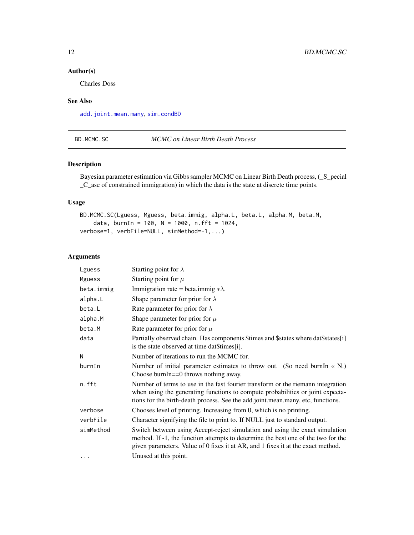# Author(s)

Charles Doss

# See Also

[add.joint.mean.many](#page-4-1), [sim.condBD](#page-48-1)

#### BD.MCMC.SC *MCMC on Linear Birth Death Process*

#### Description

Bayesian parameter estimation via Gibbs sampler MCMC on Linear Birth Death process, (\_S\_pecial \_C\_ase of constrained immigration) in which the data is the state at discrete time points.

## Usage

```
BD.MCMC.SC(Lguess, Mguess, beta.immig, alpha.L, beta.L, alpha.M, beta.M,
    data, burnIn = 100, N = 1000, n.fft = 1024,
verbose=1, verbFile=NULL, simMethod=-1,...)
```
# Arguments

| Lguess     | Starting point for $\lambda$                                                                                                                                                                                                                          |
|------------|-------------------------------------------------------------------------------------------------------------------------------------------------------------------------------------------------------------------------------------------------------|
| Mguess     | Starting point for $\mu$                                                                                                                                                                                                                              |
| beta.immig | Immigration rate = beta.immig $*\lambda$ .                                                                                                                                                                                                            |
| alpha.L    | Shape parameter for prior for $\lambda$                                                                                                                                                                                                               |
| beta.L     | Rate parameter for prior for $\lambda$                                                                                                                                                                                                                |
| alpha.M    | Shape parameter for prior for $\mu$                                                                                                                                                                                                                   |
| beta.M     | Rate parameter for prior for $\mu$                                                                                                                                                                                                                    |
| data       | Partially observed chain. Has components \$times and \$states where dat\$states[i]<br>is the state observed at time dat\$times[i].                                                                                                                    |
| N          | Number of iterations to run the MCMC for.                                                                                                                                                                                                             |
| burnIn     | Number of initial parameter estimates to throw out. (So need burnIn $\ll N$ .)<br>Choose burnIn= $=0$ throws nothing away.                                                                                                                            |
| n.fft      | Number of terms to use in the fast fourier transform or the riemann integration<br>when using the generating functions to compute probabilities or joint expecta-<br>tions for the birth-death process. See the add.joint.mean.many, etc, functions.  |
| verbose    | Chooses level of printing. Increasing from 0, which is no printing.                                                                                                                                                                                   |
| verbFile   | Character signifying the file to print to. If NULL just to standard output.                                                                                                                                                                           |
| simMethod  | Switch between using Accept-reject simulation and using the exact simulation<br>method. If -1, the function attempts to determine the best one of the two for the<br>given parameters. Value of 0 fixes it at AR, and 1 fixes it at the exact method. |
| .          | Unused at this point.                                                                                                                                                                                                                                 |

<span id="page-11-0"></span>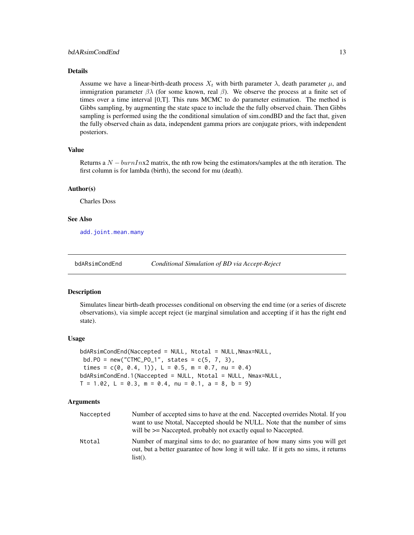#### <span id="page-12-0"></span>Details

Assume we have a linear-birth-death process  $X_t$  with birth parameter  $\lambda$ , death parameter  $\mu$ , and immigration parameter  $\beta \lambda$  (for some known, real  $\beta$ ). We observe the process at a finite set of times over a time interval [0,T]. This runs MCMC to do parameter estimation. The method is Gibbs sampling, by augmenting the state space to include the the fully observed chain. Then Gibbs sampling is performed using the the conditional simulation of sim.condBD and the fact that, given the fully observed chain as data, independent gamma priors are conjugate priors, with independent posteriors.

## Value

Returns a  $N - burnInx2$  matrix, the nth row being the estimators/samples at the nth iteration. The first column is for lambda (birth), the second for mu (death).

#### Author(s)

Charles Doss

#### See Also

[add.joint.mean.many](#page-4-1)

bdARsimCondEnd *Conditional Simulation of BD via Accept-Reject*

#### Description

Simulates linear birth-death processes conditional on observing the end time (or a series of discrete observations), via simple accept reject (ie marginal simulation and accepting if it has the right end state).

#### Usage

```
bdARsimCondEnd(Naccepted = NULL, Ntotal = NULL,Nmax=NULL,
bd.P0 = new("CTMC_P0_1", states = c(5, 7, 3),times = c(0, 0.4, 1), L = 0.5, m = 0.7, nu = 0.4)
bdARsimCondEnd.1(Naccepted = NULL, Ntotal = NULL, Nmax=NULL,
T = 1.02, L = 0.3, m = 0.4, nu = 0.1, a = 8, b = 9)
```
## Arguments

| Naccepted | Number of accepted sims to have at the end. Naccepted overrides Ntotal. If you<br>want to use Ntotal, Naccepted should be NULL. Note that the number of sims<br>will be $\geq$ Naccepted, probably not exactly equal to Naccepted. |
|-----------|------------------------------------------------------------------------------------------------------------------------------------------------------------------------------------------------------------------------------------|
| Ntotal    | Number of marginal sims to do; no guarantee of how many sims you will get<br>out, but a better guarantee of how long it will take. If it gets no sims, it returns<br>$list()$ .                                                    |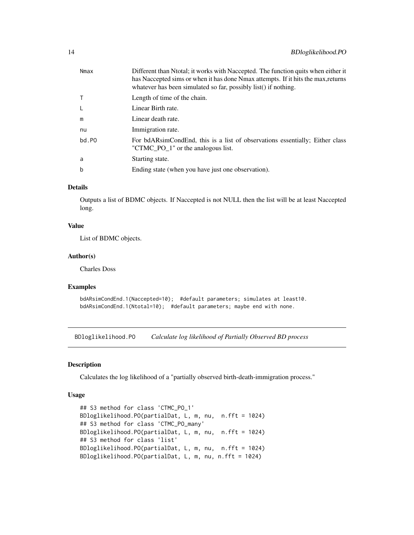<span id="page-13-0"></span>

| Nmax  | Different than Ntotal; it works with Naccepted. The function quits when either it<br>has Naccepted sims or when it has done Nmax attempts. If it hits the max, returns<br>whatever has been simulated so far, possibly list() if nothing. |
|-------|-------------------------------------------------------------------------------------------------------------------------------------------------------------------------------------------------------------------------------------------|
| T     | Length of time of the chain.                                                                                                                                                                                                              |
| L     | Linear Birth rate.                                                                                                                                                                                                                        |
| m     | Linear death rate.                                                                                                                                                                                                                        |
| nu    | Immigration rate.                                                                                                                                                                                                                         |
| bd.PO | For bdARsimCondEnd, this is a list of observations essentially; Either class<br>"CTMC_PO_1" or the analogous list.                                                                                                                        |
| a     | Starting state.                                                                                                                                                                                                                           |
| b     | Ending state (when you have just one observation).                                                                                                                                                                                        |

#### Details

Outputs a list of BDMC objects. If Naccepted is not NULL then the list will be at least Naccepted long.

#### Value

List of BDMC objects.

# Author(s)

Charles Doss

#### Examples

```
bdARsimCondEnd.1(Naccepted=10); #default parameters; simulates at least10.
bdARsimCondEnd.1(Ntotal=10); #default parameters; maybe end with none.
```
BDloglikelihood.PO *Calculate log likelihood of Partially Observed BD process*

# Description

Calculates the log likelihood of a "partially observed birth-death-immigration process."

#### Usage

```
## S3 method for class 'CTMC_PO_1'
BDloglikelihood.PO(partialDat, L, m, nu, n.fft = 1024)
## S3 method for class 'CTMC_PO_many'
BDloglikelihood.PO(partialDat, L, m, nu, n.fft = 1024)
## S3 method for class 'list'
BDloglikelihood.PO(partialDat, L, m, nu, n.fft = 1024)
BDloglikelihood.PO(partialDat, L, m, nu, n.fft = 1024)
```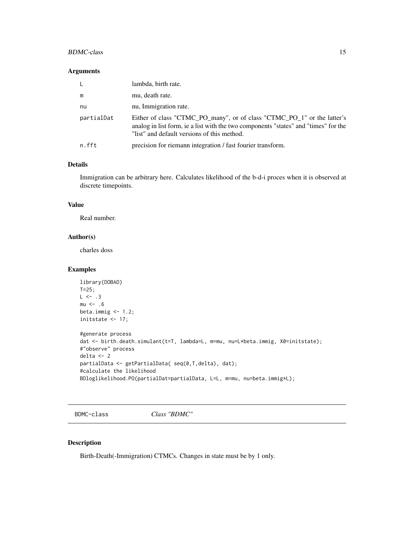## <span id="page-14-0"></span>BDMC-class 15

#### Arguments

| L.         | lambda, birth rate.                                                                                                                                                                                           |
|------------|---------------------------------------------------------------------------------------------------------------------------------------------------------------------------------------------------------------|
| m          | mu, death rate.                                                                                                                                                                                               |
| nu         | nu, Immigration rate.                                                                                                                                                                                         |
| partialDat | Either of class "CTMC_PO_many", or of class "CTMC_PO_1" or the latter's<br>analog in list form, ie a list with the two components "states" and "times" for the<br>"list" and default versions of this method. |
| n.fft      | precision for riemann integration / fast fourier transform.                                                                                                                                                   |

## Details

Immigration can be arbitrary here. Calculates likelihood of the b-d-i proces when it is observed at discrete timepoints.

## Value

Real number.

#### Author(s)

charles doss

## Examples

```
library(DOBAD)
T=25;
L \le -0.3mu < - .6beta.immig <-1.2;initstate \leq 17;
#generate process
dat <- birth.death.simulant(t=T, lambda=L, m=mu, nu=L*beta.immig, X0=initstate);
#"observe" process
delta <- 2
partialData <- getPartialData( seq(0,T,delta), dat);
#calculate the likelihood
BDloglikelihood.PO(partialDat=partialData, L=L, m=mu, nu=beta.immig*L);
```
<span id="page-14-1"></span>BDMC-class *Class "BDMC"*

## Description

Birth-Death(-Immigration) CTMCs. Changes in state must be by 1 only.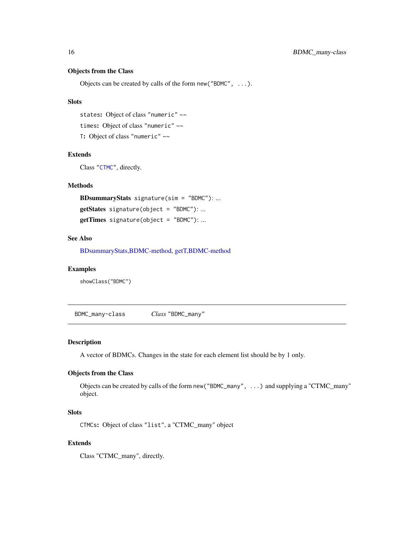# Objects from the Class

Objects can be created by calls of the form new("BDMC", ...).

#### **Slots**

states: Object of class "numeric" ~~ times: Object of class "numeric" ~~ T: Object of class "numeric" ~~

#### Extends

Class ["CTMC"](#page-20-1), directly.

# Methods

BDsummaryStats signature(sim = "BDMC"): ... getStates signature(object = "BDMC"): ... getTimes signature(object = "BDMC"): ...

# See Also

[BDsummaryStats,BDMC-method,](#page-16-1) [getT,BDMC-method](#page-40-1)

#### Examples

showClass("BDMC")

BDMC\_many-class *Class* "BDMC\_many"

#### Description

A vector of BDMCs. Changes in the state for each element list should be by 1 only.

# Objects from the Class

Objects can be created by calls of the form new("BDMC\_many", ...) and supplying a "CTMC\_many" object.

# **Slots**

CTMCs: Object of class "list", a "CTMC\_many" object

# Extends

Class "CTMC\_many", directly.

<span id="page-15-0"></span>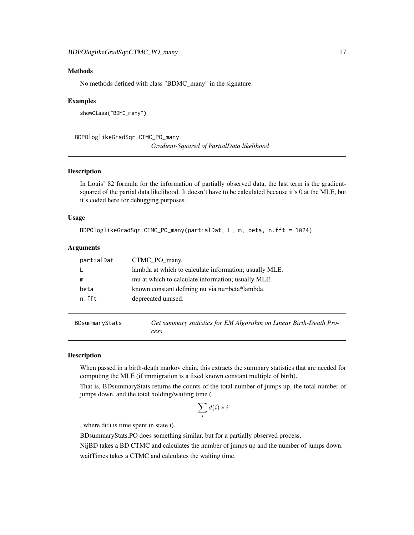# <span id="page-16-0"></span>Methods

No methods defined with class "BDMC\_many" in the signature.

#### Examples

showClass("BDMC\_many")

BDPOloglikeGradSqr.CTMC\_PO\_many

*Gradient-Squared of PartialData likelihood*

## Description

In Louis' 82 formula for the information of partially observed data, the last term is the gradientsquared of the partial data likelihood. It doesn't have to be calculated because it's 0 at the MLE, but it's coded here for debugging purposes.

#### Usage

```
BDPOloglikeGradSqr.CTMC_PO_many(partialDat, L, m, beta, n.fft = 1024)
```
#### Arguments

| partialDat | CTMC_PO_many.                                          |
|------------|--------------------------------------------------------|
|            | lambda at which to calculate information; usually MLE. |
| m          | mu at which to calculate information; usually MLE.     |
| beta       | known constant defining nu via nu=beta*lambda.         |
| n.fft      | deprecated unused.                                     |
|            |                                                        |

| BDsummaryStats | Get summary statistics for EM Algorithm on Linear Birth-Death Pro- |
|----------------|--------------------------------------------------------------------|
|                | cess                                                               |

#### <span id="page-16-1"></span>Description

When passed in a birth-death markov chain, this extracts the summary statistics that are needed for computing the MLE (if immigration is a fixed known constant multiple of birth).

That is, BDsummaryStats returns the counts of the total number of jumps up, the total number of jumps down, and the total holding/waiting time (

$$
\sum_i d(i) * i
$$

, where d(i) is time spent in state i).

BDsummaryStats.PO does something similar, but for a partially observed process.

NijBD takes a BD CTMC and calculates the number of jumps up and the number of jumps down.

waitTimes takes a CTMC and calculates the waiting time.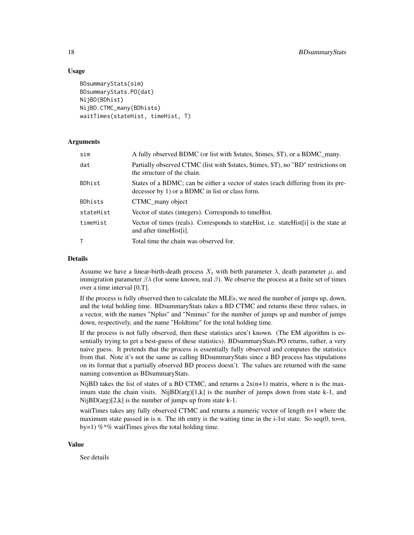#### Usage

```
BDsummaryStats(sim)
BDsummaryStats.PO(dat)
NijBD(BDhist)
NijBD.CTMC_many(BDhists)
waitTimes(stateHist, timeHist, T)
```
## Arguments

| sim       | A fully observed BDMC (or list with \$states, \$times, \$T), or a BDMC_many.                                                        |
|-----------|-------------------------------------------------------------------------------------------------------------------------------------|
| dat       | Partially observed CTMC (list with \$states, \$times, \$T), no "BD" restrictions on<br>the structure of the chain.                  |
| BDhist    | States of a BDMC; can be either a vector of states (each differing from its pre-<br>decessor by 1) or a BDMC in list or class form. |
| BDhists   | CTMC many object                                                                                                                    |
| stateHist | Vector of states (integers). Corresponds to time Hist.                                                                              |
| timeHist  | Vector of times (reals). Corresponds to stateHist, i.e. stateHist[i] is the state at<br>and after time Hist[i].                     |
| т         | Total time the chain was observed for.                                                                                              |

## Details

Assume we have a linear-birth-death process  $X_t$  with birth parameter  $\lambda$ , death parameter  $\mu$ , and immigration parameter  $βλ$  (for some known, real  $β$ ). We observe the process at a finite set of times over a time interval [0,T].

If the process is fully observed then to calculate the MLEs, we need the number of jumps up, down, and the total holding time. BDsummaryStats takes a BD CTMC and returns these three values, in a vector, with the names "Nplus" and "Nminus" for the number of jumps up and number of jumps down, respectively, and the name "Holdtime" for the total holding time.

If the process is not fully observed, then these statistics aren't known. (The EM algorithm is essentially trying to get a best-guess of these statistics). BDsummaryStats.PO returns, rather, a very naive guess. It pretends that the process is essentially fully observed and computes the statistics from that. Note it's not the same as calling BDsummaryStats since a BD process has stipulations on its format that a partially observed BD process doesn't. The values are returned with the same naming convention as BDsummaryStats.

NijBD takes the list of states of a BD CTMC, and returns a  $2x(n+1)$  matrix, where n is the maximum state the chain visits. NijBD(arg)[1,k] is the number of jumps down from state k-1, and Nij $BD(\arg)[2,k]$  is the number of jumps up from state k-1.

waitTimes takes any fully observed CTMC and returns a numeric vector of length n+1 where the maximum state passed in is n. The ith entry is the waiting time in the i-1st state. So seq $(0, \text{to=n},$ by=1) % $*$ % waitTimes gives the total holding time.

#### Value

See details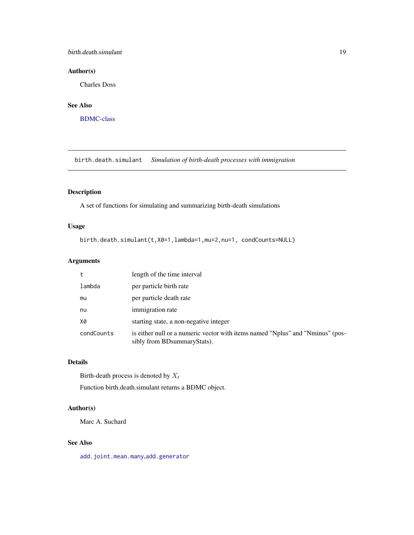## <span id="page-18-0"></span>birth.death.simulant 19

# Author(s)

Charles Doss

# See Also

[BDMC-class](#page-14-1)

birth.death.simulant *Simulation of birth-death processes with immigration*

# Description

A set of functions for simulating and summarizing birth-death simulations

# Usage

birth.death.simulant(t,X0=1,lambda=1,mu=2,nu=1, condCounts=NULL)

# Arguments

| t          | length of the time interval                                                                                     |
|------------|-----------------------------------------------------------------------------------------------------------------|
| lambda     | per particle birth rate                                                                                         |
| mu         | per particle death rate                                                                                         |
| nu         | immigration rate                                                                                                |
| X0         | starting state, a non-negative integer                                                                          |
| condCounts | is either null or a numeric vector with items named "Nplus" and "Nminus" (pos-<br>sibly from BD summary Stats). |

# Details

Birth-death process is denoted by  $X_t$ 

Function birth.death.simulant returns a BDMC object.

#### Author(s)

Marc A. Suchard

# See Also

[add.joint.mean.many](#page-4-1),[add.generator](#page-2-1)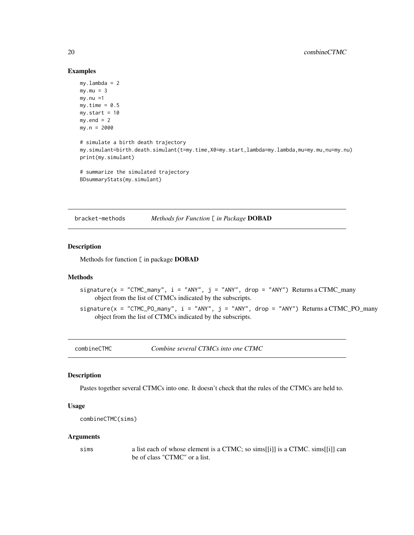#### Examples

```
my.lambda = 2
my.mu = 3my.nu =1my.time = 0.5my.start = 10my.end = 2my.n = 2000
# simulate a birth death trajectory
my.simulant=birth.death.simulant(t=my.time,X0=my.start,lambda=my.lambda,mu=my.mu,nu=my.nu)
print(my.simulant)
# summarize the simulated trajectory
BDsummaryStats(my.simulant)
```
bracket-methods *Methods for Function* [ *in Package* DOBAD

## Description

Methods for function [ in package DOBAD

# Methods

- signature( $x = "CTMC_m$ any",  $i = "ANY", j = "ANY", drop = "ANY")$  Returns a  $CTMC_m$ any object from the list of CTMCs indicated by the subscripts.
- $sigma( x = "CTMC_PO_many", i = "ANY", j = "ANY", drop = "ANY") Returns a CTMC_PO_many$ object from the list of CTMCs indicated by the subscripts.

combineCTMC *Combine several CTMCs into one CTMC*

## Description

Pastes together several CTMCs into one. It doesn't check that the rules of the CTMCs are held to.

#### Usage

```
combineCTMC(sims)
```
#### Arguments

sims a list each of whose element is a CTMC; so sims[[i]] is a CTMC. sims[[i]] can be of class "CTMC" or a list.

<span id="page-19-0"></span>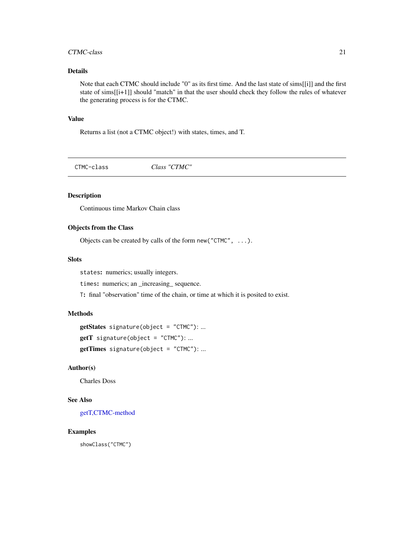#### <span id="page-20-0"></span>CTMC-class 21

# Details

Note that each CTMC should include "0" as its first time. And the last state of sims[[i]] and the first state of sims[[i+1]] should "match" in that the user should check they follow the rules of whatever the generating process is for the CTMC.

# Value

Returns a list (not a CTMC object!) with states, times, and T.

<span id="page-20-1"></span>CTMC-class *Class "CTMC"*

# Description

Continuous time Markov Chain class

# Objects from the Class

Objects can be created by calls of the form new("CTMC", ...).

## **Slots**

states: numerics; usually integers.

times: numerics; an \_increasing\_ sequence.

T: final "observation" time of the chain, or time at which it is posited to exist.

## Methods

```
getStates signature(object = "CTMC"): ...
getT signature(object = "CTMC"): ...
getTimes signature(object = "CTMC"): ...
```
# Author(s)

Charles Doss

# See Also

[getT,CTMC-method](#page-40-1)

## Examples

showClass("CTMC")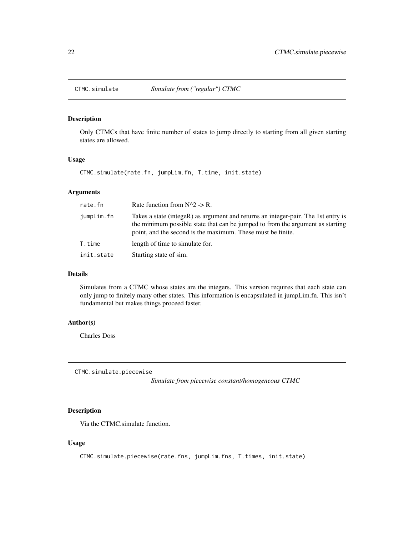<span id="page-21-0"></span>

Only CTMCs that have finite number of states to jump directly to starting from all given starting states are allowed.

# Usage

CTMC.simulate(rate.fn, jumpLim.fn, T.time, init.state)

# Arguments

| rate.fn    | Rate function from $N^2 > R$ .                                                                                                                                                                                                     |
|------------|------------------------------------------------------------------------------------------------------------------------------------------------------------------------------------------------------------------------------------|
| jumpLim.fn | Takes a state (integeR) as argument and returns an integer-pair. The 1st entry is<br>the minimum possible state that can be jumped to from the argument as starting<br>point, and the second is the maximum. These must be finite. |
| T.time     | length of time to simulate for.                                                                                                                                                                                                    |
| init.state | Starting state of sim.                                                                                                                                                                                                             |

# Details

Simulates from a CTMC whose states are the integers. This version requires that each state can only jump to finitely many other states. This information is encapsulated in jumpLim.fn. This isn't fundamental but makes things proceed faster.

## Author(s)

Charles Doss

CTMC.simulate.piecewise

*Simulate from piecewise constant/homogeneous CTMC*

# Description

Via the CTMC.simulate function.

# Usage

```
CTMC.simulate.piecewise(rate.fns, jumpLim.fns, T.times, init.state)
```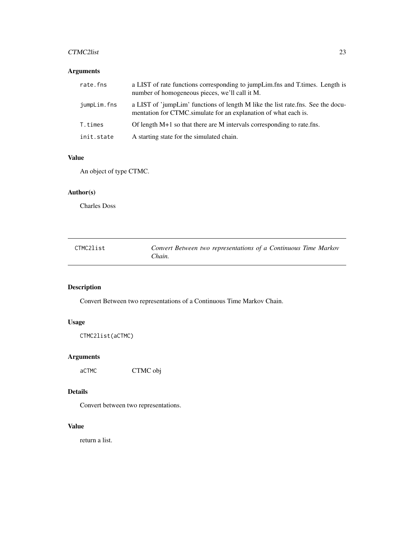#### <span id="page-22-0"></span>CTMC2list 23

# Arguments

| rate.fns    | a LIST of rate functions corresponding to jumpLim.fns and T.times. Length is<br>number of homogeneous pieces, we'll call it M.                     |
|-------------|----------------------------------------------------------------------------------------------------------------------------------------------------|
| jumpLim.fns | a LIST of 'jumpLim' functions of length M like the list rate.fns. See the docu-<br>mentation for CTMC simulate for an explanation of what each is. |
| T.times     | Of length $M+1$ so that there are M intervals corresponding to rate. fins.                                                                         |
| init.state  | A starting state for the simulated chain.                                                                                                          |

# Value

An object of type CTMC.

# Author(s)

Charles Doss

| CTMC2list | Convert Between two representations of a Continuous Time Markov |
|-----------|-----------------------------------------------------------------|
|           | Chain.                                                          |

# Description

Convert Between two representations of a Continuous Time Markov Chain.

# Usage

CTMC2list(aCTMC)

# Arguments

aCTMC CTMC obj

# Details

Convert between two representations.

## Value

return a list.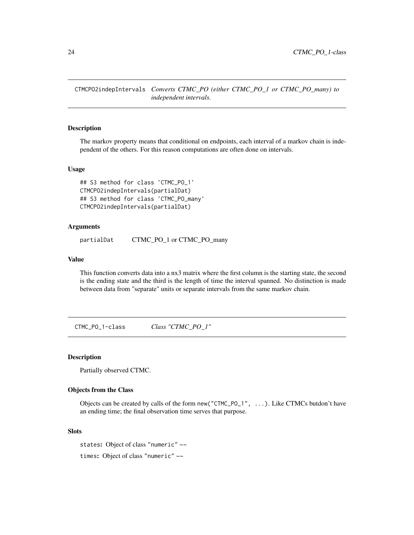<span id="page-23-0"></span>CTMCPO2indepIntervals *Converts CTMC\_PO (either CTMC\_PO\_1 or CTMC\_PO\_many) to independent intervals.*

#### Description

The markov property means that conditional on endpoints, each interval of a markov chain is independent of the others. For this reason computations are often done on intervals.

#### Usage

```
## S3 method for class 'CTMC_PO_1'
CTMCPO2indepIntervals(partialDat)
## S3 method for class 'CTMC_PO_many'
CTMCPO2indepIntervals(partialDat)
```
#### Arguments

partialDat CTMC\_PO\_1 or CTMC\_PO\_many

## Value

This function converts data into a nx3 matrix where the first column is the starting state, the second is the ending state and the third is the length of time the interval spanned. No distinction is made between data from "separate" units or separate intervals from the same markov chain.

CTMC\_PO\_1-class *Class "CTMC\_PO\_1"*

# Description

Partially observed CTMC.

#### Objects from the Class

Objects can be created by calls of the form new("CTMC\_PO\_1", ...). Like CTMCs butdon't have an ending time; the final observation time serves that purpose.

#### Slots

states: Object of class "numeric" ~~ times: Object of class "numeric" ~~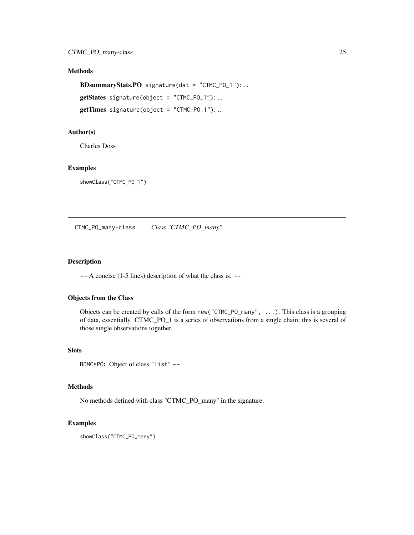# <span id="page-24-0"></span>Methods

```
BDsummaryStats.PO signature(dat = "CTMC_PO_1"): ...
getStates signature(object = "CTMC_PO_1"): ...
```
getTimes signature(object = "CTMC\_PO\_1"): ...

## Author(s)

Charles Doss

# Examples

showClass("CTMC\_PO\_1")

CTMC\_PO\_many-class *Class "CTMC\_PO\_many"*

## Description

 $\sim$  A concise (1-5 lines) description of what the class is.  $\sim$ 

# Objects from the Class

Objects can be created by calls of the form new("CTMC\_PO\_many", ...). This class is a grouping of data, essentially. CTMC\_PO\_1 is a series of observations from a single chain; this is several of those single observations together.

## Slots

```
BDMCsPO: Object of class "list" ~~
```
## Methods

No methods defined with class "CTMC\_PO\_many" in the signature.

# Examples

```
showClass("CTMC_PO_many")
```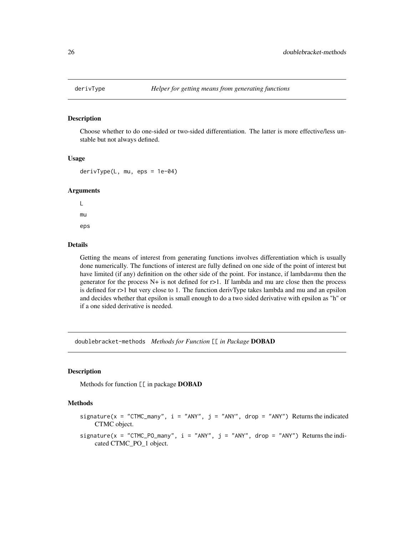<span id="page-25-0"></span>

Choose whether to do one-sided or two-sided differentiation. The latter is more effective/less unstable but not always defined.

#### Usage

derivType(L, mu, eps = 1e-04)

#### Arguments

L mu eps

## Details

Getting the means of interest from generating functions involves differentiation which is usually done numerically. The functions of interest are fully defined on one side of the point of interest but have limited (if any) definition on the other side of the point. For instance, if lambda=mu then the generator for the process  $N+$  is not defined for  $r>1$ . If lambda and mu are close then the process is defined for r>1 but very close to 1. The function derivType takes lambda and mu and an epsilon and decides whether that epsilon is small enough to do a two sided derivative with epsilon as "h" or if a one sided derivative is needed.

doublebracket-methods *Methods for Function* [[ *in Package* DOBAD

# Description

Methods for function [[ in package DOBAD

#### Methods

signature( $x =$  "CTMC\_many",  $i =$  "ANY",  $j =$  "ANY", drop = "ANY") Returns the indicated CTMC object.

signature( $x =$  "CTMC\_PO\_many",  $i =$  "ANY",  $j =$  "ANY", drop = "ANY") Returns the indicated CTMC\_PO\_1 object.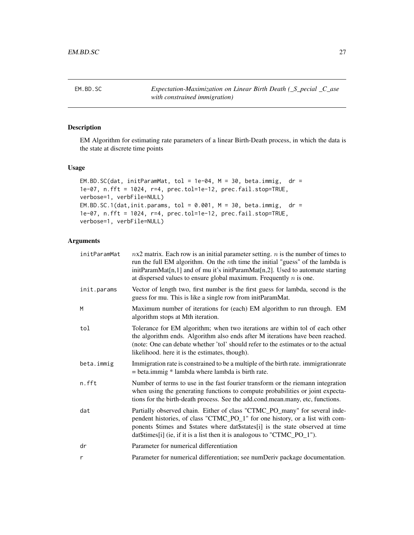<span id="page-26-1"></span><span id="page-26-0"></span>EM.BD.SC *Expectation-Maximization on Linear Birth Death (\_S\_pecial \_C\_ase with constrained immigration)*

# Description

EM Algorithm for estimating rate parameters of a linear Birth-Death process, in which the data is the state at discrete time points

## Usage

```
EM.BD.SC(dat, initParamMat, tol = 1e-04, M = 30, beta.immig, dr =
1e-07, n.fft = 1024, r=4, prec.tol=1e-12, prec.fail.stop=TRUE,
verbose=1, verbFile=NULL)
EM.BD.SC.1(dat,init.params, tol = 0.001, M = 30, beta.immig, dr =
1e-07, n.fft = 1024, r=4, prec.tol=1e-12, prec.fail.stop=TRUE,
verbose=1, verbFile=NULL)
```
# Arguments

| initParamMat | $nx2$ matrix. Each row is an initial parameter setting. <i>n</i> is the number of times to<br>run the full EM algorithm. On the $n$ th time the initial "guess" of the lambda is<br>initParamMat[n,1] and of mu it's initParamMat[n,2]. Used to automate starting<br>at dispersed values to ensure global maximum. Frequently $n$ is one. |
|--------------|-------------------------------------------------------------------------------------------------------------------------------------------------------------------------------------------------------------------------------------------------------------------------------------------------------------------------------------------|
| init.params  | Vector of length two, first number is the first guess for lambda, second is the<br>guess for mu. This is like a single row from initParamMat.                                                                                                                                                                                             |
| M            | Maximum number of iterations for (each) EM algorithm to run through. EM<br>algorithm stops at Mth iteration.                                                                                                                                                                                                                              |
| tol          | Tolerance for EM algorithm; when two iterations are within tol of each other<br>the algorithm ends. Algorithm also ends after M iterations have been reached.<br>(note: One can debate whether 'tol' should refer to the estimates or to the actual<br>likelihood. here it is the estimates, though).                                     |
| beta.immig   | Immigration rate is constrained to be a multiple of the birth rate. immigration rate<br>$=$ beta.immig $*$ lambda where lambda is birth rate.                                                                                                                                                                                             |
| n.fft        | Number of terms to use in the fast fourier transform or the riemann integration<br>when using the generating functions to compute probabilities or joint expecta-<br>tions for the birth-death process. See the add.cond.mean.many, etc, functions.                                                                                       |
| dat          | Partially observed chain. Either of class "CTMC_PO_many" for several inde-<br>pendent histories, of class "CTMC_PO_1" for one history, or a list with com-<br>ponents \$times and \$states where dat\$states[i] is the state observed at time<br>dat $$times[i]$ (ie, if it is a list then it is analogous to "CTMC_PO_1").               |
| dr           | Parameter for numerical differentiation                                                                                                                                                                                                                                                                                                   |
| r            | Parameter for numerical differentiation; see numDeriv package documentation.                                                                                                                                                                                                                                                              |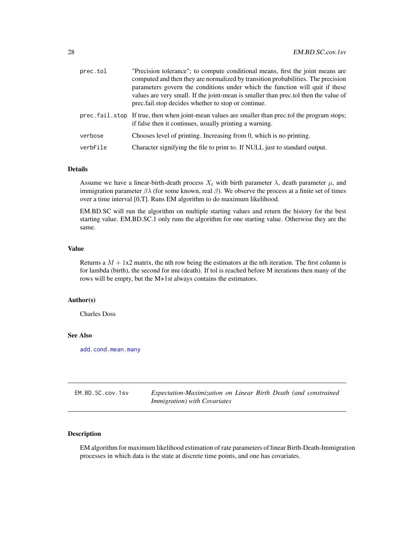<span id="page-27-0"></span>

| prec.tol | "Precision tolerance"; to compute conditional means, first the joint means are<br>computed and then they are normalized by transition probabilities. The precision<br>parameters govern the conditions under which the function will quit if these<br>values are very small. If the joint-mean is smaller than prec.tol then the value of<br>prec.fail.stop decides whether to stop or continue. |
|----------|--------------------------------------------------------------------------------------------------------------------------------------------------------------------------------------------------------------------------------------------------------------------------------------------------------------------------------------------------------------------------------------------------|
|          | prec. fail. stop If true, then when joint-mean values are smaller than prec. tol the program stops;<br>if false then it continues, usually printing a warning.                                                                                                                                                                                                                                   |
| verbose  | Chooses level of printing. Increasing from 0, which is no printing.                                                                                                                                                                                                                                                                                                                              |
| verbFile | Character signifying the file to print to. If NULL just to standard output.                                                                                                                                                                                                                                                                                                                      |

#### Details

Assume we have a linear-birth-death process  $X_t$  with birth parameter  $\lambda$ , death parameter  $\mu$ , and immigration parameter  $βλ$  (for some known, real  $β$ ). We observe the process at a finite set of times over a time interval [0,T]. Runs EM algorithm to do maximum likelihood.

EM.BD.SC will run the algorithm on multiple starting values and return the history for the best starting value. EM.BD.SC.1 only runs the algorithm for one starting value. Otherwise they are the same.

#### Value

Returns a  $M + 1x2$  matrix, the nth row being the estimators at the nth iteration. The first column is for lambda (birth), the second for mu (death). If tol is reached before M iterations then many of the rows will be empty, but the M+1st always contains the estimators.

## Author(s)

Charles Doss

## See Also

[add.cond.mean.many](#page-4-2)

| EM.BD.SC.cov.1sv | Expectation-Maximization on Linear Birth Death (and constrained |
|------------------|-----------------------------------------------------------------|
|                  | <i>Immigration</i> ) with Covariates                            |

# Description

EM algorithm for maximum likelihood estimation of rate parameters of linear Birth-Death-Immigration processes in which data is the state at discrete time points, and one has covariates.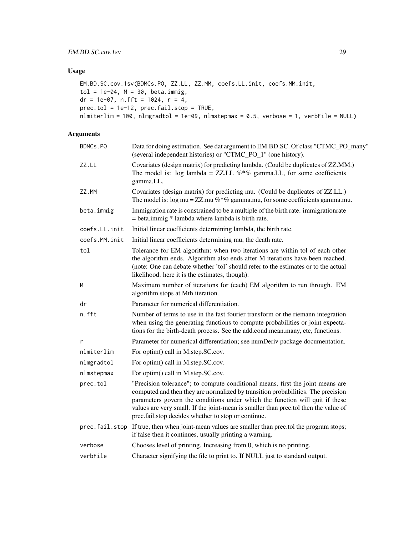# Usage

```
EM.BD.SC.cov.1sv(BDMCs.PO, ZZ.LL, ZZ.MM, coefs.LL.init, coefs.MM.init,
tol = 1e-04, M = 30, beta.immig,
dr = 1e-07, n.fft = 1024, r = 4,
prec.tol = 1e-12, prec.fail.stop = TRUE,
nlmiterlim = 100, nlmgradtol = 1e-09, nlmstepmax = 0.5, verbose = 1, verbFile = NULL)
```
# Arguments

| BDMCs.PO      | Data for doing estimation. See dat argument to EM.BD.SC. Of class "CTMC_PO_many"<br>(several independent histories) or "CTMC_PO_1" (one history).                                                                                                                                                                                                                                                |
|---------------|--------------------------------------------------------------------------------------------------------------------------------------------------------------------------------------------------------------------------------------------------------------------------------------------------------------------------------------------------------------------------------------------------|
| ZZ.LL         | Covariates (design matrix) for predicting lambda. (Could be duplicates of ZZ.MM.)<br>The model is: log lambda = ZZ.LL $\%*$ % gamma.LL, for some coefficients<br>gamma.LL.                                                                                                                                                                                                                       |
| ZZ.MM         | Covariates (design matrix) for predicting mu. (Could be duplicates of ZZ.LL.)<br>The model is: $\log$ mu = ZZ.mu %*% gamma.mu, for some coefficients gamma.mu.                                                                                                                                                                                                                                   |
| beta.immig    | Immigration rate is constrained to be a multiple of the birth rate. immigration rate<br>$=$ beta.immig $*$ lambda where lambda is birth rate.                                                                                                                                                                                                                                                    |
| coefs.LL.init | Initial linear coefficients determining lambda, the birth rate.                                                                                                                                                                                                                                                                                                                                  |
| coefs.MM.init | Initial linear coefficients determining mu, the death rate.                                                                                                                                                                                                                                                                                                                                      |
| tol           | Tolerance for EM algorithm; when two iterations are within tol of each other<br>the algorithm ends. Algorithm also ends after M iterations have been reached.<br>(note: One can debate whether 'tol' should refer to the estimates or to the actual<br>likelihood. here it is the estimates, though).                                                                                            |
| M             | Maximum number of iterations for (each) EM algorithm to run through. EM<br>algorithm stops at Mth iteration.                                                                                                                                                                                                                                                                                     |
| dr            | Parameter for numerical differentiation.                                                                                                                                                                                                                                                                                                                                                         |
| n.fft         | Number of terms to use in the fast fourier transform or the riemann integration<br>when using the generating functions to compute probabilities or joint expecta-<br>tions for the birth-death process. See the add.cond.mean.many, etc, functions.                                                                                                                                              |
| $\mathsf{r}$  | Parameter for numerical differentiation; see numDeriv package documentation.                                                                                                                                                                                                                                                                                                                     |
| nlmiterlim    | For optim() call in M.step.SC.cov.                                                                                                                                                                                                                                                                                                                                                               |
| nlmgradtol    | For optim() call in M.step.SC.cov.                                                                                                                                                                                                                                                                                                                                                               |
| nlmstepmax    | For optim() call in M.step.SC.cov.                                                                                                                                                                                                                                                                                                                                                               |
| prec.tol      | "Precision tolerance"; to compute conditional means, first the joint means are<br>computed and then they are normalized by transition probabilities. The precision<br>parameters govern the conditions under which the function will quit if these<br>values are very small. If the joint-mean is smaller than prec.tol then the value of<br>prec.fail.stop decides whether to stop or continue. |
|               | prec. fail. stop If true, then when joint-mean values are smaller than prec. tol the program stops;<br>if false then it continues, usually printing a warning.                                                                                                                                                                                                                                   |
| verbose       | Chooses level of printing. Increasing from 0, which is no printing.                                                                                                                                                                                                                                                                                                                              |
| verbFile      | Character signifying the file to print to. If NULL just to standard output.                                                                                                                                                                                                                                                                                                                      |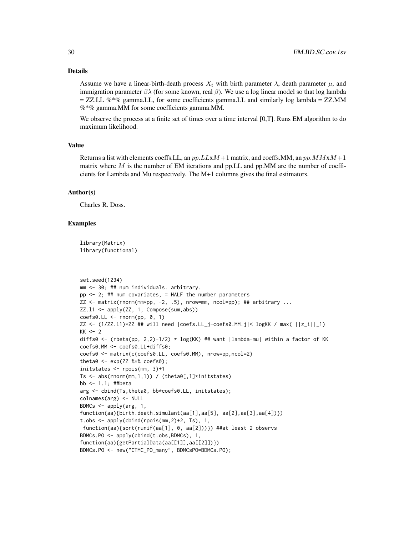#### Details

Assume we have a linear-birth-death process  $X_t$  with birth parameter  $\lambda$ , death parameter  $\mu$ , and immigration parameter  $βλ$  (for some known, real  $β$ ). We use a log linear model so that log lambda  $=$  ZZ.LL %<sup>\*</sup>% gamma.LL, for some coefficients gamma.LL and similarly log lambda = ZZ.MM %\*% gamma.MM for some coefficients gamma.MM.

We observe the process at a finite set of times over a time interval [0,T]. Runs EM algorithm to do maximum likelihood.

## Value

Returns a list with elements coeffs. LL, an  $pp.LLxM+1$  matrix, and coeffs. MM, an  $pp.MMxM+1$ matrix where  $M$  is the number of EM iterations and pp. LL and pp. MM are the number of coefficients for Lambda and Mu respectively. The M+1 columns gives the final estimators.

#### Author(s)

Charles R. Doss.

#### Examples

```
library(Matrix)
library(functional)
```

```
set.seed(1234)
mm <- 30; ## num individuals. arbitrary.
pp \le -2; ## num covariates, = HALF the number parameters
ZZ \leq - matrix(rnorm(mm*pp, -2, .5), nrow=mm, ncol=pp); ## arbitrary ...
ZZ.11 \leftarrow apply(ZZ, 1, Compose(sum, abs))coeffs0.LL < -rnorm(pp, 0, 1)ZZ <- (1/ZZ.11)*ZZ ## will need |coeff. L_1--coeff. 0.04 MM.j|< logKK / max( ||z_i||_1)
KK < - 2diffs0 <- (rbeta(pp, 2,2)-1/2) * log(KK) ## want |lambda-mu| within a factor of KK
coefs0.MM <- coefs0.LL+diffs0;
coefs0 <- matrix(c(coefs0.LL, coefs0.MM), nrow=pp,ncol=2)
theta0 \leq -\exp(ZZ \text{ % } \mathcal{S} \times \mathcal{S}) coefs0);
initstates <- rpois(mm, 3)+1
Ts \leq abs(rnorm(mm,1,1)) / (theta0[,1]*initstates)
bb <- 1.1; ##beta
arg <- cbind(Ts,theta0, bb*coefs0.LL, initstates);
colnames(arg) <- NULL
BDMCs \leq apply(arg, 1,
function(aa){birth.death.simulant(aa[1],aa[5], aa[2],aa[3],aa[4])})
t.obs <- apply(cbind(rpois(mm,2)+2, Ts), 1,
 function(aa){sort(runif(aa[1], 0, aa[2]))}) ##at least 2 observs
BDMCs.PO <- apply(cbind(t.obs,BDMCs), 1,
function(aa){getPartialData(aa[[1]],aa[[2]])})
BDMCs.PO <- new("CTMC_PO_many", BDMCsPO=BDMCs.PO);
```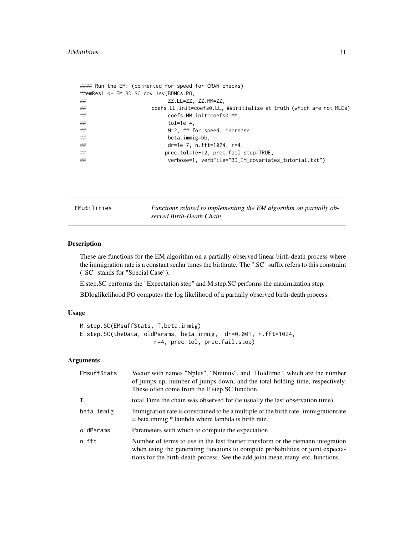```
#### Run the EM: (commented for speed for CRAN checks)
##emRes1 <- EM.BD.SC.cov.1sv(BDMCs.PO,
## ZZ.LL=ZZ, ZZ.MM=ZZ,
## coefs.LL.init=coefs0.LL, ##initialize at truth (which are not MLEs)
## coefs.MM.init=coefs0.MM,
## tol=1e-4,
## M=2, ## for speed; increase.
## beta.immig=bb,
## dr=1e-7, n.fft=1024, r=4,
## prec.tol=1e-12, prec.fail.stop=TRUE,
## verbose=1, verbFile="BD_EM_covariates_tutorial.txt")
```
EMutilities *Functions related to implementing the EM algorithm on partially observed Birth-Death Chain*

#### Description

These are functions for the EM algorithm on a partially observed linear birth-death process where the immigration rate is a constant scalar times the birthrate. The ".SC" suffix refers to this constraint ("SC" stands for "Special Case").

E.step.SC performs the "Expectation step" and M.step.SC performs the maximization step.

BDloglikelihood.PO computes the log likelihood of a partially observed birth-death process.

## Usage

```
M.step.SC(EMsuffStats, T,beta.immig)
E.step.SC(theData, oldParams, beta.immig, dr=0.001, n.fft=1024,
                      r=4, prec.tol, prec.fail.stop)
```
# Arguments

| EMsuffStats | Vector with names "Nplus", "Nminus", and "Holdtime", which are the number<br>of jumps up, number of jumps down, and the total holding time, respectively.<br>These often come from the E.step.SC function.                                           |
|-------------|------------------------------------------------------------------------------------------------------------------------------------------------------------------------------------------------------------------------------------------------------|
| T.          | total Time the chain was observed for (ie usually the last observation time).                                                                                                                                                                        |
| beta.immig  | Immigration rate is constrained to be a multiple of the birth rate. immigration rate<br>$=$ beta.immig $*$ lambda where lambda is birth rate.                                                                                                        |
| oldParams   | Parameters with which to compute the expectation                                                                                                                                                                                                     |
| n.fft       | Number of terms to use in the fast fourier transform or the riemann integration<br>when using the generating functions to compute probabilities or joint expecta-<br>tions for the birth-death process. See the add.joint.mean.many, etc, functions. |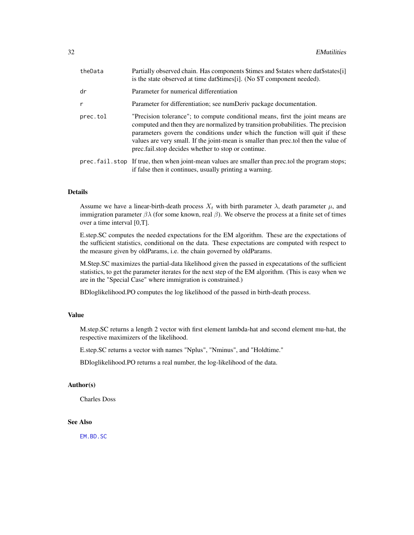<span id="page-31-0"></span>

| Partially observed chain. Has components \$times and \$states where dat\$states[i]<br>is the state observed at time dat\$times[i]. (No \$T component needed).                                                                                                                                                                                                                                     |
|---------------------------------------------------------------------------------------------------------------------------------------------------------------------------------------------------------------------------------------------------------------------------------------------------------------------------------------------------------------------------------------------------|
| Parameter for numerical differentiation                                                                                                                                                                                                                                                                                                                                                           |
| Parameter for differentiation; see numDeriv package documentation.                                                                                                                                                                                                                                                                                                                                |
| "Precision tolerance"; to compute conditional means, first the joint means are<br>computed and then they are normalized by transition probabilities. The precision<br>parameters govern the conditions under which the function will quit if these<br>values are very small. If the joint-mean is smaller than prec. tol then the value of<br>prec.fail.stop decides whether to stop or continue. |
| prec. fail. stop If true, then when joint-mean values are smaller than prec. tol the program stops;<br>if false then it continues, usually printing a warning.                                                                                                                                                                                                                                    |
|                                                                                                                                                                                                                                                                                                                                                                                                   |

#### Details

Assume we have a linear-birth-death process  $X_t$  with birth parameter  $\lambda$ , death parameter  $\mu$ , and immigration parameter  $βλ$  (for some known, real  $β$ ). We observe the process at a finite set of times over a time interval [0,T].

E.step.SC computes the needed expectations for the EM algorithm. These are the expectations of the sufficient statistics, conditional on the data. These expectations are computed with respect to the measure given by oldParams, i.e. the chain governed by oldParams.

M.Step.SC maximizes the partial-data likelihood given the passed in expecatations of the sufficient statistics, to get the parameter iterates for the next step of the EM algorithm. (This is easy when we are in the "Special Case" where immigration is constrained.)

BDloglikelihood.PO computes the log likelihood of the passed in birth-death process.

#### Value

M.step.SC returns a length 2 vector with first element lambda-hat and second element mu-hat, the respective maximizers of the likelihood.

E.step.SC returns a vector with names "Nplus", "Nminus", and "Holdtime."

BDloglikelihood.PO returns a real number, the log-likelihood of the data.

#### Author(s)

Charles Doss

## See Also

[EM.BD.SC](#page-26-1)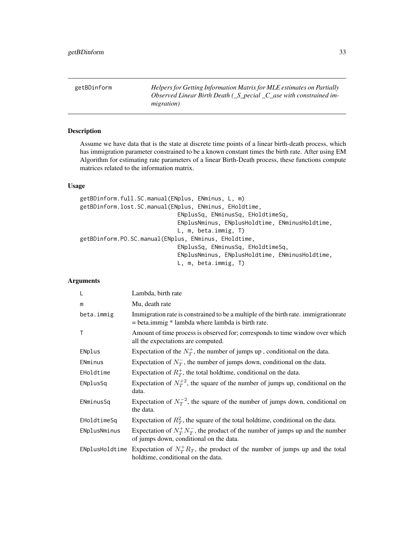<span id="page-32-0"></span>getBDinform *Helpers for Getting Information Matrix for MLE estimates on Partially Observed Linear Birth Death (\_S\_pecial \_C\_ase with constrained immigration)*

## Description

Assume we have data that is the state at discrete time points of a linear birth-death process, which has immigration parameter constrained to be a known constant times the birth rate. After using EM Algorithm for estimating rate parameters of a linear Birth-Death process, these functions compute matrices related to the information matrix.

# Usage

```
getBDinform.full.SC.manual(ENplus, ENminus, L, m)
getBDinform.lost.SC.manual(ENplus, ENminus, EHoldtime,
                             ENplusSq, ENminusSq, EHoldtimeSq,
                             ENplusNminus, ENplusHoldtime, ENminusHoldtime,
                             L, m, beta.immig, T)
getBDinform.PO.SC.manual(ENplus, ENminus, EHoldtime,
                             ENplusSq, ENminusSq, EHoldtimeSq,
                             ENplusNminus, ENplusHoldtime, ENminusHoldtime,
                             L, m, beta.immig, T)
```
## Arguments

| L            | Lambda, birth rate                                                                                                                            |
|--------------|-----------------------------------------------------------------------------------------------------------------------------------------------|
| m            | Mu, death rate                                                                                                                                |
| beta.immig   | Immigration rate is constrained to be a multiple of the birth rate. immigration rate<br>$=$ beta.immig $*$ lambda where lambda is birth rate. |
| $\mathsf{T}$ | Amount of time process is observed for; corresponds to time window over which<br>all the expectations are computed.                           |
| ENplus       | Expectation of the $N_T^+$ , the number of jumps up, conditional on the data.                                                                 |
| ENminus      | Expectation of $N_{\tau}^-$ , the number of jumps down, conditional on the data.                                                              |
| EHoldtime    | Expectation of $R_T^+$ , the total holdtime, conditional on the data.                                                                         |
| ENplusSq     | Expectation of $N_T^{+2}$ , the square of the number of jumps up, conditional on the<br>data.                                                 |
| ENminusSq    | Expectation of $N_T^{-2}$ , the square of the number of jumps down, conditional on<br>the data.                                               |
| EHoldtimeSq  | Expectation of $R_T^2$ , the square of the total holdtime, conditional on the data.                                                           |
| ENplusNminus | Expectation of $N_T^+ N_T^-$ , the product of the number of jumps up and the number<br>of jumps down, conditional on the data.                |
|              | ENplusHoldtime Expectation of $N_T^+ R_T$ , the product of the number of jumps up and the total<br>holdtime, conditional on the data.         |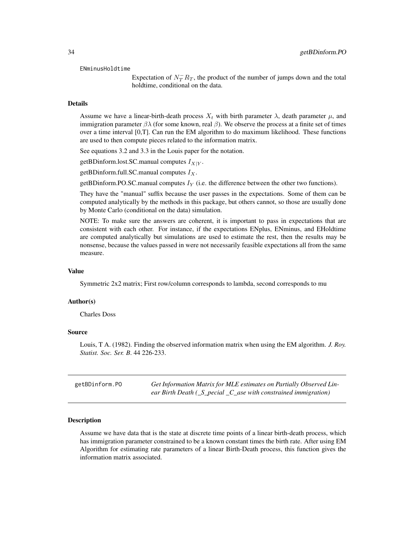#### <span id="page-33-0"></span>ENminusHoldtime

Expectation of  $N_T^- R_T$ , the product of the number of jumps down and the total holdtime, conditional on the data.

#### Details

Assume we have a linear-birth-death process  $X_t$  with birth parameter  $\lambda$ , death parameter  $\mu$ , and immigration parameter  $βλ$  (for some known, real  $β$ ). We observe the process at a finite set of times over a time interval [0,T]. Can run the EM algorithm to do maximum likelihood. These functions are used to then compute pieces related to the information matrix.

See equations 3.2 and 3.3 in the Louis paper for the notation.

getBDinform.lost.SC.manual computes  $I_{X|Y}$ .

getBDinform.full.SC.manual computes  $I_X$ .

getBDinform.PO.SC.manual computes  $I_Y$  (i.e. the difference between the other two functions).

They have the "manual" suffix because the user passes in the expectations. Some of them can be computed analytically by the methods in this package, but others cannot, so those are usually done by Monte Carlo (conditional on the data) simulation.

NOTE: To make sure the answers are coherent, it is important to pass in expectations that are consistent with each other. For instance, if the expectations ENplus, ENminus, and EHoldtime are computed analytically but simulations are used to estimate the rest, then the results may be nonsense, because the values passed in were not necessarily feasible expectations all from the same measure.

#### Value

Symmetric 2x2 matrix; First row/column corresponds to lambda, second corresponds to mu

#### Author(s)

Charles Doss

#### Source

Louis, T A. (1982). Finding the observed information matrix when using the EM algorithm. *J. Roy. Statist. Soc. Ser. B*. 44 226-233.

| getBDinform.PO | Get Information Matrix for MLE estimates on Partially Observed Lin-                             |
|----------------|-------------------------------------------------------------------------------------------------|
|                | ear Birth Death $(\_S\_\mathit{pecial}\_\mathit{C}\_\mathit{ase}$ with constrained immigration) |

#### Description

Assume we have data that is the state at discrete time points of a linear birth-death process, which has immigration parameter constrained to be a known constant times the birth rate. After using EM Algorithm for estimating rate parameters of a linear Birth-Death process, this function gives the information matrix associated.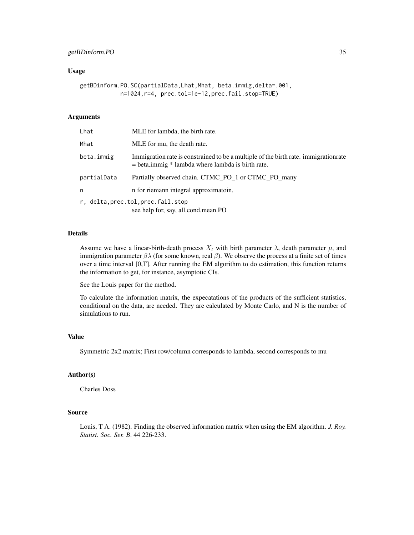# getBDinform.PO 35

#### Usage

```
getBDinform.PO.SC(partialData,Lhat,Mhat, beta.immig,delta=.001,
            n=1024,r=4, prec.tol=1e-12,prec.fail.stop=TRUE)
```
#### Arguments

| Lhat                                                                      | MLE for lambda, the birth rate.                                                                                                               |
|---------------------------------------------------------------------------|-----------------------------------------------------------------------------------------------------------------------------------------------|
| Mhat                                                                      | MLE for mu, the death rate.                                                                                                                   |
| beta.immig                                                                | Immigration rate is constrained to be a multiple of the birth rate. immigration rate<br>$=$ beta.immig $*$ lambda where lambda is birth rate. |
| partialData                                                               | Partially observed chain. CTMC_PO_1 or CTMC_PO_many                                                                                           |
| n                                                                         | n for riemann integral approximatoin.                                                                                                         |
| r, delta, prec.tol, prec.fail.stop<br>see help for, say, all.cond.mean.PO |                                                                                                                                               |

## Details

Assume we have a linear-birth-death process  $X_t$  with birth parameter  $\lambda$ , death parameter  $\mu$ , and immigration parameter  $βλ$  (for some known, real  $β$ ). We observe the process at a finite set of times over a time interval [0,T]. After running the EM algorithm to do estimation, this function returns the information to get, for instance, asymptotic CIs.

See the Louis paper for the method.

To calculate the information matrix, the expecatations of the products of the sufficient statistics, conditional on the data, are needed. They are calculated by Monte Carlo, and N is the number of simulations to run.

#### Value

Symmetric 2x2 matrix; First row/column corresponds to lambda, second corresponds to mu

## Author(s)

Charles Doss

## Source

Louis, T A. (1982). Finding the observed information matrix when using the EM algorithm. *J. Roy. Statist. Soc. Ser. B*. 44 226-233.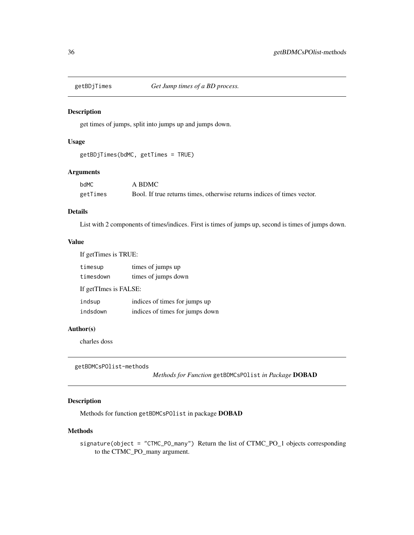<span id="page-35-0"></span>

get times of jumps, split into jumps up and jumps down.

# Usage

```
getBDjTimes(bdMC, getTimes = TRUE)
```
# Arguments

| bdMC     | A BDMC                                                                  |
|----------|-------------------------------------------------------------------------|
| getTimes | Bool. If true returns times, otherwise returns indices of times vector. |

# Details

List with 2 components of times/indices. First is times of jumps up, second is times of jumps down.

# Value

| If getTimes is TRUE:  |                                 |  |
|-----------------------|---------------------------------|--|
| timesup               | times of jumps up               |  |
| timesdown             | times of jumps down             |  |
| If getTImes is FALSE: |                                 |  |
| indsup                | indices of times for jumps up   |  |
| indsdown              | indices of times for jumps down |  |

## Author(s)

charles doss

```
getBDMCsPOlist-methods
```
*Methods for Function* getBDMCsPOlist *in Package* DOBAD

# Description

Methods for function getBDMCsPOlist in package DOBAD

# Methods

signature(object = "CTMC\_PO\_many") Return the list of CTMC\_PO\_1 objects corresponding to the CTMC\_PO\_many argument.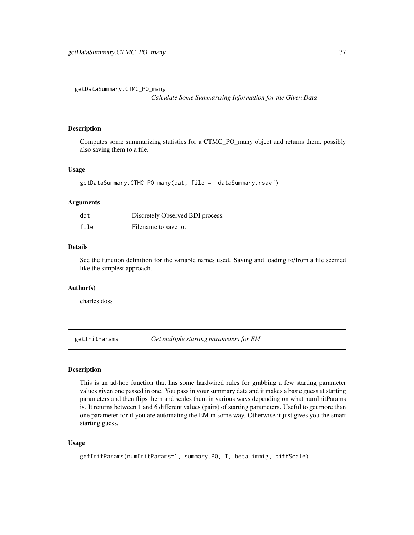<span id="page-36-0"></span>getDataSummary.CTMC\_PO\_many

*Calculate Some Summarizing Information for the Given Data*

#### Description

Computes some summarizing statistics for a CTMC\_PO\_many object and returns them, possibly also saving them to a file.

#### Usage

```
getDataSummary.CTMC_PO_many(dat, file = "dataSummary.rsav")
```
#### Arguments

| dat  | Discretely Observed BDI process. |
|------|----------------------------------|
| file | Filename to save to.             |

## Details

See the function definition for the variable names used. Saving and loading to/from a file seemed like the simplest approach.

#### Author(s)

charles doss

getInitParams *Get multiple starting parameters for EM*

#### Description

This is an ad-hoc function that has some hardwired rules for grabbing a few starting parameter values given one passed in one. You pass in your summary data and it makes a basic guess at starting parameters and then flips them and scales them in various ways depending on what numInitParams is. It returns between 1 and 6 different values (pairs) of starting parameters. Useful to get more than one parameter for if you are automating the EM in some way. Otherwise it just gives you the smart starting guess.

#### Usage

```
getInitParams(numInitParams=1, summary.PO, T, beta.immig, diffScale)
```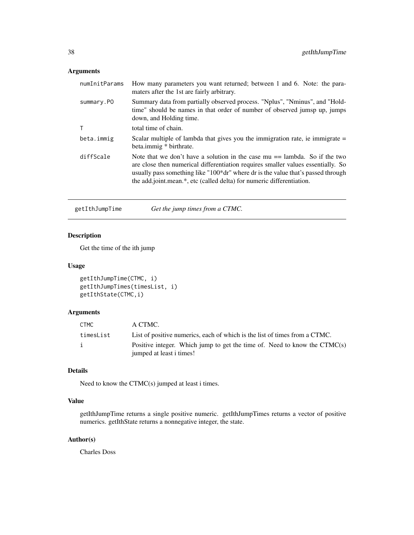# Arguments

| numInitParams | How many parameters you want returned; between 1 and 6. Note: the para-<br>maters after the 1st are fairly arbitrary.                                                                                                                                                                                                                      |
|---------------|--------------------------------------------------------------------------------------------------------------------------------------------------------------------------------------------------------------------------------------------------------------------------------------------------------------------------------------------|
| summary.PO    | Summary data from partially observed process. "Nplus", "Nminus", and "Hold-<br>time" should be names in that order of number of observed jumsp up, jumps<br>down, and Holding time.                                                                                                                                                        |
|               | total time of chain.                                                                                                                                                                                                                                                                                                                       |
| beta.immig    | Scalar multiple of lambda that gives you the immigration rate, ie immigrate $=$<br>beta.immig * birthrate.                                                                                                                                                                                                                                 |
| diffScale     | Note that we don't have a solution in the case $mu ==$ lambda. So if the two<br>are close then numerical differentiation requires smaller values essentially. So<br>usually pass something like "100 <sup>*</sup> dr" where dr is the value that's passed through<br>the add.joint.mean.*, etc (called delta) for numeric differentiation. |

getIthJumpTime *Get the jump times from a CTMC.*

# Description

Get the time of the ith jump

#### Usage

```
getIthJumpTime(CTMC, i)
getIthJumpTimes(timesList, i)
getIthState(CTMC,i)
```
# Arguments

| CTMC      | A CTMC.                                                                                               |
|-----------|-------------------------------------------------------------------------------------------------------|
| timesList | List of positive numerics, each of which is the list of times from a CTMC.                            |
| j.        | Positive integer. Which jump to get the time of. Need to know the CTMC(s)<br>jumped at least i times! |

# Details

Need to know the CTMC(s) jumped at least i times.

# Value

getIthJumpTime returns a single positive numeric. getIthJumpTimes returns a vector of positive numerics. getIthState returns a nonnegative integer, the state.

# Author(s)

Charles Doss

<span id="page-37-0"></span>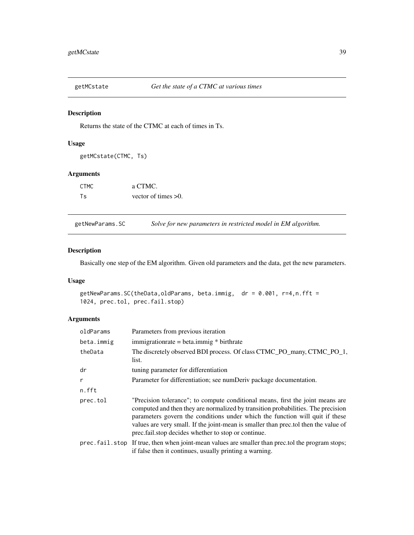<span id="page-38-0"></span>

Returns the state of the CTMC at each of times in Ts.

## Usage

getMCstate(CTMC, Ts)

# Arguments

| <b>CTMC</b> | a CTMC.                |
|-------------|------------------------|
| Ts          | vector of times $>0$ . |

getNewParams.SC *Solve for new parameters in restricted model in EM algorithm.*

## Description

Basically one step of the EM algorithm. Given old parameters and the data, get the new parameters.

#### Usage

```
getNewParams.SC(theData,oldParams, beta.immig, dr = 0.001, r=4,n.fft =
1024, prec.tol, prec.fail.stop)
```
# Arguments

| oldParams  | Parameters from previous iteration                                                                                                                                                                                                                                                                                                                                                              |
|------------|-------------------------------------------------------------------------------------------------------------------------------------------------------------------------------------------------------------------------------------------------------------------------------------------------------------------------------------------------------------------------------------------------|
| beta.immig | $immigrationrate = beta.$ $immig * birthrate$                                                                                                                                                                                                                                                                                                                                                   |
| theData    | The discretely observed BDI process. Of class CTMC_PO_many, CTMC_PO_1,<br>list.                                                                                                                                                                                                                                                                                                                 |
| dr         | tuning parameter for differentiation                                                                                                                                                                                                                                                                                                                                                            |
| r          | Parameter for differentiation; see numDeriv package documentation.                                                                                                                                                                                                                                                                                                                              |
| n.fft      |                                                                                                                                                                                                                                                                                                                                                                                                 |
| prec.tol   | "Precision tolerance"; to compute conditional means, first the joint means are<br>computed and then they are normalized by transition probabilities. The precision<br>parameters govern the conditions under which the function will quit if these<br>values are very small. If the joint-mean is smaller than prectol then the value of<br>prec.fail.stop decides whether to stop or continue. |
|            | prec. fail. stop If true, then when joint-mean values are smaller than prec. tol the program stops;<br>if false then it continues, usually printing a warning.                                                                                                                                                                                                                                  |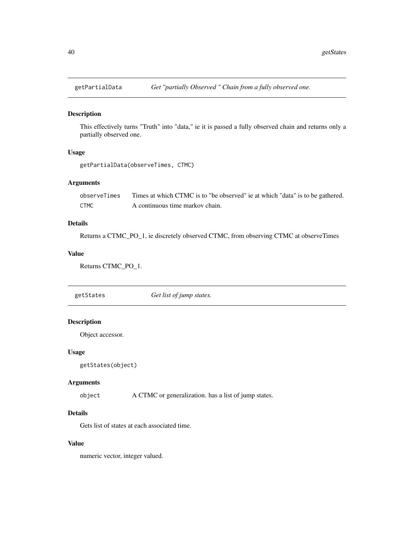<span id="page-39-0"></span>

This effectively turns "Truth" into "data," ie it is passed a fully observed chain and returns only a partially observed one.

# Usage

```
getPartialData(observeTimes, CTMC)
```
# Arguments

| observeTimes | Times at which CTMC is to "be observed" ie at which "data" is to be gathered. |
|--------------|-------------------------------------------------------------------------------|
| <b>CTMC</b>  | A continuous time markov chain.                                               |

## Details

Returns a CTMC\_PO\_1, ie discretely observed CTMC, from observing CTMC at observeTimes

## Value

Returns CTMC\_PO\_1.

getStates *Get list of jump states.*

# Description

Object accessor.

# Usage

```
getStates(object)
```
## Arguments

object A CTMC or generalization. has a list of jump states.

# Details

Gets list of states at each associated time.

# Value

numeric vector, integer valued.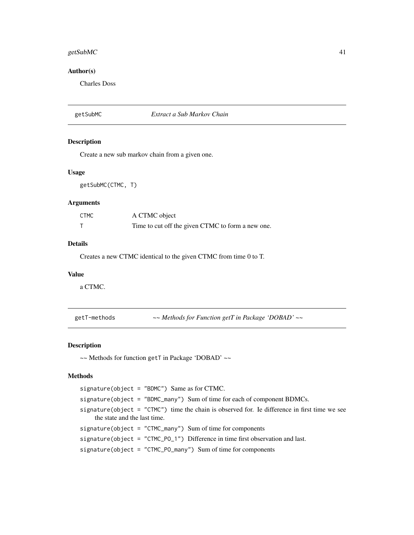#### <span id="page-40-0"></span>getSubMC  $41$

# Author(s)

Charles Doss

#### getSubMC *Extract a Sub Markov Chain*

## Description

Create a new sub markov chain from a given one.

#### Usage

getSubMC(CTMC, T)

#### Arguments

| <b>CTMC</b> | A CTMC object                                     |
|-------------|---------------------------------------------------|
|             | Time to cut off the given CTMC to form a new one. |

## Details

Creates a new CTMC identical to the given CTMC from time 0 to T.

#### Value

a CTMC.

getT-methods *~~ Methods for Function getT in Package 'DOBAD' ~~*

# <span id="page-40-1"></span>Description

~~ Methods for function getT in Package 'DOBAD' ~~

# Methods

signature(object = "BDMC") Same as for CTMC. signature(object = "BDMC\_many") Sum of time for each of component BDMCs. signature(object = "CTMC") time the chain is observed for. Ie difference in first time we see the state and the last time. signature(object = "CTMC\_many") Sum of time for components signature(object = "CTMC\_PO\_1") Difference in time first observation and last. signature(object = "CTMC\_PO\_many") Sum of time for components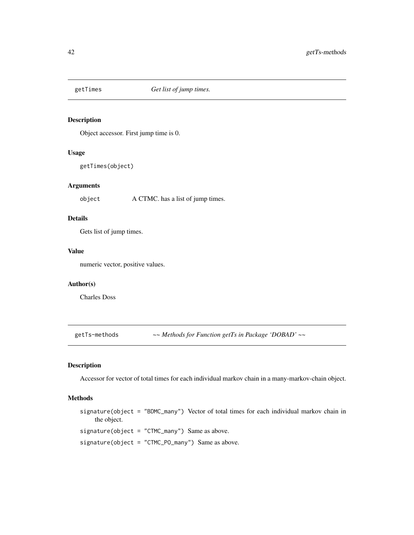<span id="page-41-0"></span>

Object accessor. First jump time is 0.

# Usage

getTimes(object)

# Arguments

object A CTMC. has a list of jump times.

# Details

Gets list of jump times.

#### Value

numeric vector, positive values.

# Author(s)

Charles Doss

getTs-methods *~~ Methods for Function getTs in Package 'DOBAD' ~~*

## Description

Accessor for vector of total times for each individual markov chain in a many-markov-chain object.

# Methods

signature(object = "BDMC\_many") Vector of total times for each individual markov chain in the object.

signature(object = "CTMC\_many") Same as above.

signature(object = "CTMC\_PO\_many") Same as above.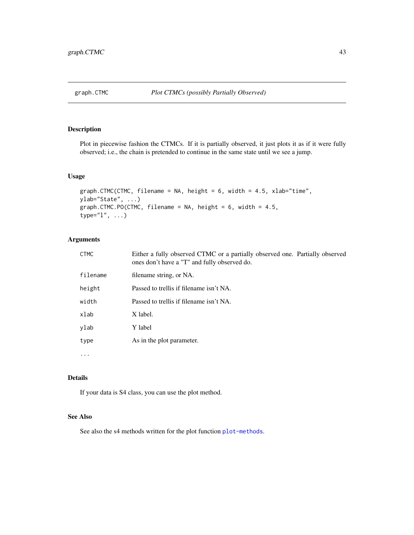<span id="page-42-0"></span>

Plot in piecewise fashion the CTMCs. If it is partially observed, it just plots it as if it were fully observed; i.e., the chain is pretended to continue in the same state until we see a jump.

## Usage

```
graph.CTMC(CTMC, filename = NA, height = 6, width = 4.5, xlab="time",
ylab="State", ...)
graph.CTMC.PO(CTMC, filename = NA, height = 6, width = 4.5,
type="l", ...)
```
# Arguments

| <b>CTMC</b> | Either a fully observed CTMC or a partially observed one. Partially observed<br>ones don't have a "T" and fully observed do. |
|-------------|------------------------------------------------------------------------------------------------------------------------------|
| filename    | filename string, or NA.                                                                                                      |
| height      | Passed to trellis if filename isn't NA.                                                                                      |
| width       | Passed to trellis if filename isn't NA.                                                                                      |
| xlab        | X label.                                                                                                                     |
| ylab        | Y label                                                                                                                      |
| type        | As in the plot parameter.                                                                                                    |
| $\cdot$     |                                                                                                                              |

#### Details

If your data is S4 class, you can use the plot method.

# See Also

See also the s4 methods written for the plot function [plot-methods](#page-45-1).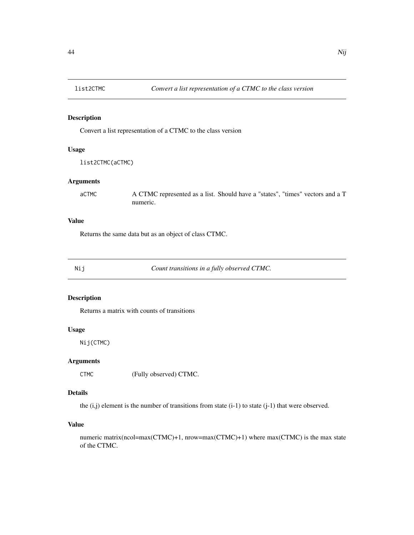<span id="page-43-0"></span>

Convert a list representation of a CTMC to the class version

## Usage

list2CTMC(aCTMC)

#### Arguments

aCTMC A CTMC represented as a list. Should have a "states", "times" vectors and a T numeric.

## Value

Returns the same data but as an object of class CTMC.

Nij *Count transitions in a fully observed CTMC.*

# Description

Returns a matrix with counts of transitions

## Usage

Nij(CTMC)

# Arguments

CTMC (Fully observed) CTMC.

# Details

the  $(i,j)$  element is the number of transitions from state  $(i-1)$  to state  $(j-1)$  that were observed.

## Value

numeric matrix(ncol=max(CTMC)+1, nrow=max(CTMC)+1) where max(CTMC) is the max state of the CTMC.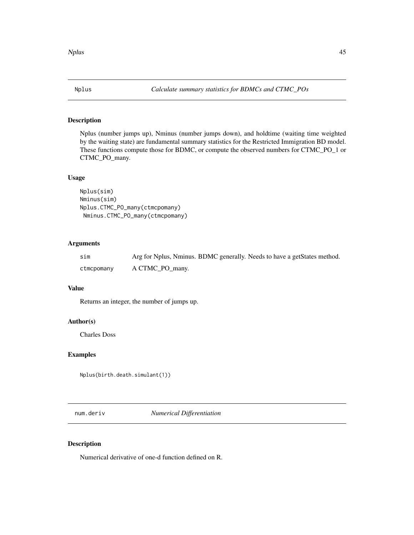<span id="page-44-0"></span>

Nplus (number jumps up), Nminus (number jumps down), and holdtime (waiting time weighted by the waiting state) are fundamental summary statistics for the Restricted Immigration BD model. These functions compute those for BDMC, or compute the observed numbers for CTMC\_PO\_1 or CTMC\_PO\_many.

# Usage

```
Nplus(sim)
Nminus(sim)
Nplus.CTMC_PO_many(ctmcpomany)
Nminus.CTMC_PO_many(ctmcpomany)
```
# Arguments

| sim        | Arg for Nplus, Nminus. BDMC generally. Needs to have a getStates method. |
|------------|--------------------------------------------------------------------------|
| ctmcpomany | A CTMC PO many.                                                          |

# Value

Returns an integer, the number of jumps up.

# Author(s)

Charles Doss

#### Examples

Nplus(birth.death.simulant(1))

num.deriv *Numerical Differentiation*

## Description

Numerical derivative of one-d function defined on R.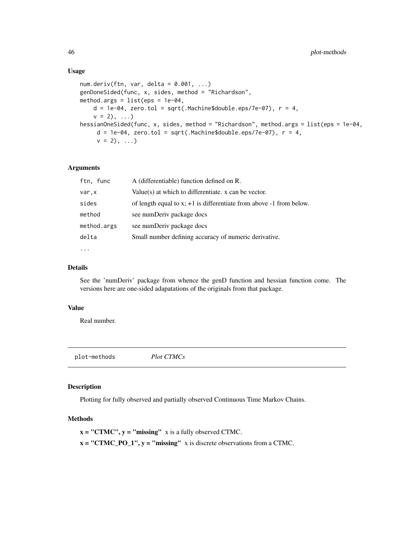#### Usage

```
num.deriv(ftn, var, delta = 0.001, ...)genDoneSided(func, x, sides, method = "Richardson",
method.args = list(eps = 1e-04,
   d = 1e-04, zero.tol = sqrt(.Machine$double.eps/7e-07), r = 4,
   v = 2), ...)
hessianOneSided(func, x, sides, method = "Richardson", method.args = list(eps = 1e-04,
     d = 1e-04, zero.tol = sqrt(.Machine$double.eps/7e-07), r = 4,
     v = 2), ...)
```
# Arguments

| ftn, func   | A (differentiable) function defined on R.                                  |
|-------------|----------------------------------------------------------------------------|
| var,x       | Value(s) at which to differentiate. $x$ can be vector.                     |
| sides       | of length equal to $x$ ; $+1$ is differentiate from above $-1$ from below. |
| method      | see numDeriv package docs                                                  |
| method.args | see numDeriv package docs                                                  |
| delta       | Small number defining accuracy of numeric derivative.                      |
| $\ddotsc$   |                                                                            |

# Details

See the 'numDeriv' package from whence the genD function and hessian function come. The versions here are one-sided adapatations of the originals from that package.

## Value

Real number.

<span id="page-45-1"></span>plot-methods *Plot CTMCs*

# **Description**

Plotting for fully observed and partially observed Continuous Time Markov Chains.

#### Methods

 $x = "CTMC", y = "missing" x is a fully observed CTMC.$  $x = "CTMC_PQ_1", y = "missing" x is discrete observations from a CTMC.$ 

<span id="page-45-0"></span>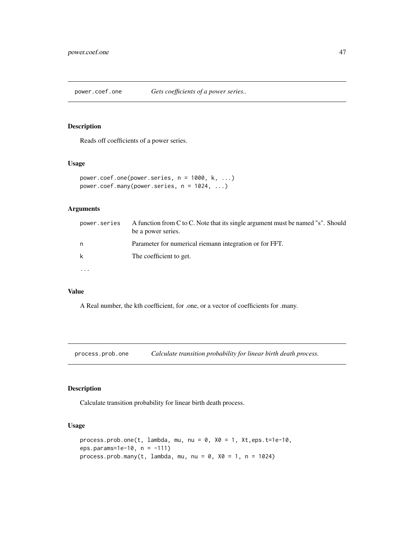<span id="page-46-0"></span>power.coef.one *Gets coefficients of a power series..*

## Description

Reads off coefficients of a power series.

# Usage

```
power.coef.one(power.series, n = 1000, k, ...)
power.coef.many(power.series, n = 1024, ...)
```
# Arguments

| power.series | A function from C to C. Note that its single argument must be named "s". Should<br>be a power series. |
|--------------|-------------------------------------------------------------------------------------------------------|
| n            | Parameter for numerical riemann integration or for FFT.                                               |
| k            | The coefficient to get.                                                                               |
|              |                                                                                                       |

# Value

A Real number, the kth coefficient, for .one, or a vector of coefficients for .many.

process.prob.one *Calculate transition probability for linear birth death process.*

# Description

Calculate transition probability for linear birth death process.

## Usage

```
process.prob.one(t, lambda, mu, nu = 0, X0 = 1, Xt,eps.t=1e-10,
eps.params=1e-10, n = -111)
process.prob.many(t, lambda, mu, nu = 0, X0 = 1, n = 1024)
```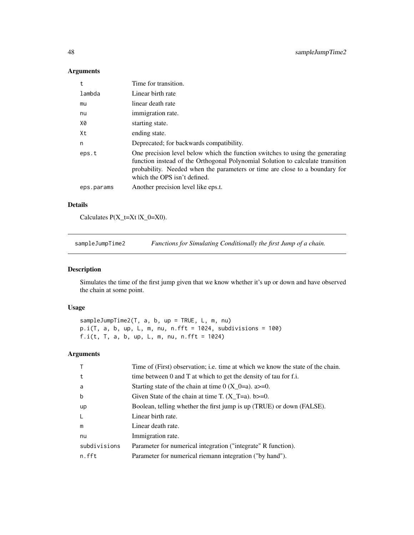## Arguments

| $^{\rm t}$ | Time for transition.                                                                                                                                                                                                                                                           |
|------------|--------------------------------------------------------------------------------------------------------------------------------------------------------------------------------------------------------------------------------------------------------------------------------|
| lambda     | Linear birth rate                                                                                                                                                                                                                                                              |
| mu         | linear death rate                                                                                                                                                                                                                                                              |
| nu         | immigration rate.                                                                                                                                                                                                                                                              |
| X0         | starting state.                                                                                                                                                                                                                                                                |
| Xt         | ending state.                                                                                                                                                                                                                                                                  |
| n          | Deprecated; for backwards compatibility.                                                                                                                                                                                                                                       |
| eps.t      | One precision level below which the function switches to using the generating<br>function instead of the Orthogonal Polynomial Solution to calculate transition<br>probability. Needed when the parameters or time are close to a boundary for<br>which the OPS isn't defined. |
| eps.params | Another precision level like eps.t.                                                                                                                                                                                                                                            |

# Details

Calculates  $P(X_t=Xt | X_0=X0)$ .

sampleJumpTime2 *Functions for Simulating Conditionally the first Jump of a chain.*

## <span id="page-47-1"></span>Description

Simulates the time of the first jump given that we know whether it's up or down and have observed the chain at some point.

## Usage

sampleJumpTime2(T, a, b, up = TRUE, L, m, nu)  $p.i(T, a, b, up, L, m, nu, n.fft = 1024, subdivisions = 100)$ f. $i(t, T, a, b, up, L, m, nu, n.fft = 1024)$ 

# Arguments

|              | Time of (First) observation; i.e. time at which we know the state of the chain. |
|--------------|---------------------------------------------------------------------------------|
| t            | time between 0 and T at which to get the density of tau for f.i.                |
| a            | Starting state of the chain at time $0(X_0=a)$ . a>=0.                          |
| b            | Given State of the chain at time T. $(X_T=a)$ . b>=0.                           |
| up           | Boolean, telling whether the first jump is up (TRUE) or down (FALSE).           |
| -L           | Linear birth rate.                                                              |
| m            | Linear death rate.                                                              |
| nu           | Immigration rate.                                                               |
| subdivisions | Parameter for numerical integration ("integrate" R function).                   |
| n.fft        | Parameter for numerical riemann integration ("by hand").                        |
|              |                                                                                 |

<span id="page-47-0"></span>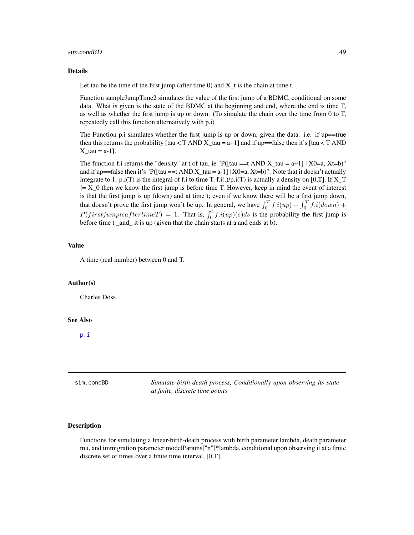#### <span id="page-48-0"></span>sim.condBD 49

#### Details

Let tau be the time of the first jump (after time  $0$ ) and  $X_t$  is the chain at time t.

Function sampleJumpTime2 simulates the value of the first jump of a BDMC, conditional on some data. What is given is the state of the BDMC at the beginning and end, where the end is time T, as well as whether the first jump is up or down. (To simulate the chain over the time from 0 to T, repeatedly call this function alternatively with p.i)

The Function p.i simulates whether the first jump is up or down, given the data. i.e. if up==true then this returns the probability [tau  $\langle T \text{ AND } X_{\text{1}} \rangle = a + 1$ ] and if up==false then it's [tau  $\langle T \text{ AND } Y_{\text{2}} \rangle$ ] X tau = a-1].

The function f.i returns the "density" at t of tau, ie "P( $[tau == t AND X_tau = a+1]$  | X0=a, Xt=b)" and if up==false then it's "P( $\left[ \tan \right]$  ==t AND X\_tau = a-1] | X0=a, Xt=b)". Note that it doesn't actually integrate to 1. p.i(T) is the integral of f.i to time T. f.i(.)/p.i(T) is actually a density on [0,T]. If X\_T != X\_0 then we know the first jump is before time T. However, keep in mind the event of interest is that the first jump is up (down) and at time t; even if we know there will be a first jump down, that doesn't prove the first jump won't be up. In general, we have  $\int_0^T f \cdot i(up) + \int_0^T f \cdot i(down) +$  $P(firstjumpisaftertimeT) = 1$ . That is,  $\int_0^t f.i(up)(s)ds$  is the probability the first jump is before time t\_and\_ it is up (given that the chain starts at a and ends at b).

#### Value

A time (real number) between 0 and T.

## Author(s)

Charles Doss

#### See Also

[p.i](#page-47-1)

<span id="page-48-1"></span>

| sim.condBD | Simulate birth-death process, Conditionally upon observing its state<br>at finite, discrete time points |
|------------|---------------------------------------------------------------------------------------------------------|
|            |                                                                                                         |

#### Description

Functions for simulating a linear-birth-death process with birth parameter lambda, death parameter mu, and immigration parameter modelParams["n"]\*lambda, conditional upon observing it at a finite discrete set of times over a finite time interval, [0,T].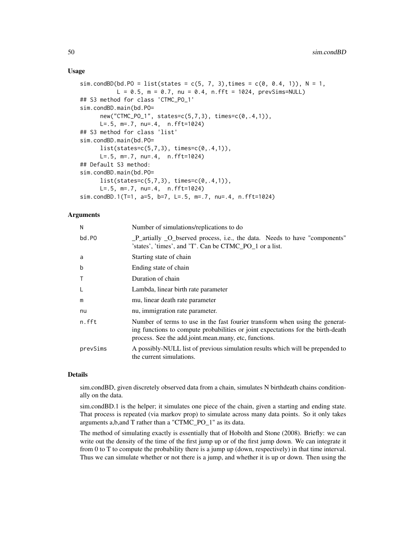#### Usage

```
sim.condBD(bd.PO = list(states = c(5, 7, 3), times = c(0, 0.4, 1)), N = 1,
          L = 0.5, m = 0.7, nu = 0.4, n.fft = 1024, prevSims=NULL## S3 method for class 'CTMC_PO_1'
sim.condBD.main(bd.PO=
     new("CTMC_PO_1", states=c(5,7,3), times=c(0,.4,1)),
     L=.5, m=.7, nu=.4, n.fft=1024)
## S3 method for class 'list'
sim.condBD.main(bd.PO=
     list(states=c(5,7,3), times=c(0,.4,1)),
     L=.5, m=.7, nu=.4, n.fft=1024)
## Default S3 method:
sim.condBD.main(bd.PO=
     list(states=c(5,7,3), times=c(0,.4,1)),
     L=.5, m=.7, nu=.4, n.fft=1024)
sim.condBD.1(T=1, a=5, b=7, L=.5, m=.7, nu=.4, n.fft=1024)
```
## Arguments

| N            | Number of simulations/replications to do                                                                                                                                                                                  |
|--------------|---------------------------------------------------------------------------------------------------------------------------------------------------------------------------------------------------------------------------|
| bd.PO        | _P_artially _O_bserved process, i.e., the data. Needs to have "components"<br>'states', 'times', and 'T'. Can be CTMC PO 1 or a list.                                                                                     |
| a            | Starting state of chain                                                                                                                                                                                                   |
| b            | Ending state of chain                                                                                                                                                                                                     |
| $\mathsf{T}$ | Duration of chain                                                                                                                                                                                                         |
| L            | Lambda, linear birth rate parameter                                                                                                                                                                                       |
| m            | mu, linear death rate parameter                                                                                                                                                                                           |
| nu           | nu, immigration rate parameter.                                                                                                                                                                                           |
| n.fft        | Number of terms to use in the fast fourier transform when using the generat-<br>ing functions to compute probabilities or joint expectations for the birth-death<br>process. See the add.joint.mean.many, etc. functions. |
| prevSims     | A possibly-NULL list of previous simulation results which will be prepended to<br>the current simulations.                                                                                                                |

#### Details

sim.condBD, given discretely observed data from a chain, simulates N birthdeath chains conditionally on the data.

sim.condBD.1 is the helper; it simulates one piece of the chain, given a starting and ending state. That process is repeated (via markov prop) to simulate across many data points. So it only takes arguments a,b,and T rather than a "CTMC\_PO\_1" as its data.

The method of simulating exactly is essentially that of Hobolth and Stone (2008). Briefly: we can write out the density of the time of the first jump up or of the first jump down. We can integrate it from 0 to T to compute the probability there is a jump up (down, respectively) in that time interval. Thus we can simulate whether or not there is a jump, and whether it is up or down. Then using the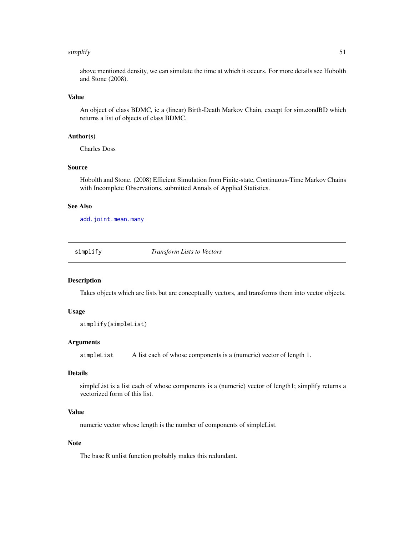#### <span id="page-50-0"></span>simplify 51

above mentioned density, we can simulate the time at which it occurs. For more details see Hobolth and Stone (2008).

## Value

An object of class BDMC, ie a (linear) Birth-Death Markov Chain, except for sim.condBD which returns a list of objects of class BDMC.

#### Author(s)

Charles Doss

#### Source

Hobolth and Stone. (2008) Efficient Simulation from Finite-state, Continuous-Time Markov Chains with Incomplete Observations, submitted Annals of Applied Statistics.

## See Also

[add.joint.mean.many](#page-4-1)

simplify *Transform Lists to Vectors*

#### Description

Takes objects which are lists but are conceptually vectors, and transforms them into vector objects.

#### Usage

```
simplify(simpleList)
```
#### Arguments

simpleList A list each of whose components is a (numeric) vector of length 1.

## Details

simpleList is a list each of whose components is a (numeric) vector of length1; simplify returns a vectorized form of this list.

## Value

numeric vector whose length is the number of components of simpleList.

## Note

The base R unlist function probably makes this redundant.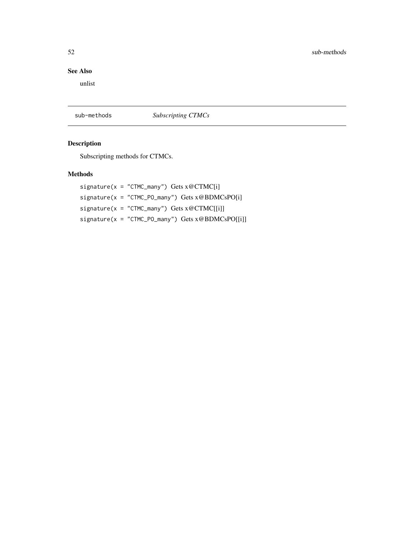# <span id="page-51-0"></span>See Also

unlist

sub-methods *Subscripting CTMCs*

# Description

Subscripting methods for CTMCs.

## Methods

signature(x = "CTMC\_many") Gets x@CTMC[i]  $signature(x = "CTMC_PO_many")$  Gets  $x@BDMCsPO[i]$ signature( $x = "CTMC_m$ any") Gets  $x@CTMC[[i]]$ signature(x = "CTMC\_PO\_many") Gets x@BDMCsPO[[i]]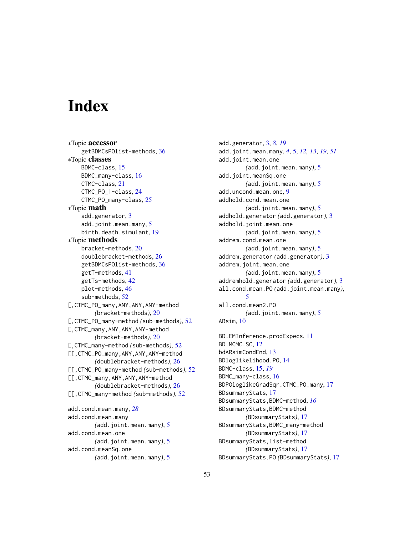# <span id="page-52-0"></span>**Index**

∗Topic accessor getBDMCsPOlist-methods, [36](#page-35-0) ∗Topic classes BDMC-class, [15](#page-14-0) BDMC\_many-class, [16](#page-15-0) CTMC-class, [21](#page-20-0) CTMC\_PO\_1-class, [24](#page-23-0) CTMC\_PO\_many-class, [25](#page-24-0) ∗Topic math add.generator, [3](#page-2-0) add.joint.mean.many, [5](#page-4-0) birth.death.simulant, [19](#page-18-0) ∗Topic methods bracket-methods, [20](#page-19-0) doublebracket-methods, [26](#page-25-0) getBDMCsPOlist-methods, [36](#page-35-0) getT-methods, [41](#page-40-0) getTs-methods, [42](#page-41-0) plot-methods, [46](#page-45-0) sub-methods, [52](#page-51-0) [,CTMC\_PO\_many,ANY,ANY,ANY-method *(*bracket-methods*)*, [20](#page-19-0) [,CTMC\_PO\_many-method *(*sub-methods*)*, [52](#page-51-0) [,CTMC\_many,ANY,ANY,ANY-method *(*bracket-methods*)*, [20](#page-19-0) [,CTMC\_many-method *(*sub-methods*)*, [52](#page-51-0) [[,CTMC\_PO\_many,ANY,ANY,ANY-method *(*doublebracket-methods*)*, [26](#page-25-0) [[,CTMC\_PO\_many-method *(*sub-methods*)*, [52](#page-51-0) [[,CTMC\_many,ANY,ANY,ANY-method *(*doublebracket-methods*)*, [26](#page-25-0) [[,CTMC\_many-method *(*sub-methods*)*, [52](#page-51-0) add.cond.mean.many, *[28](#page-27-0)* add.cond.mean.many *(*add.joint.mean.many*)*, [5](#page-4-0) add.cond.mean.one *(*add.joint.mean.many*)*, [5](#page-4-0) add.cond.meanSq.one *(*add.joint.mean.many*)*, [5](#page-4-0)

add.generator, [3,](#page-2-0) *[8](#page-7-0)*, *[19](#page-18-0)* add.joint.mean.many, *[4](#page-3-0)*, [5,](#page-4-0) *[12,](#page-11-0) [13](#page-12-0)*, *[19](#page-18-0)*, *[51](#page-50-0)* add.joint.mean.one *(*add.joint.mean.many*)*, [5](#page-4-0) add.joint.meanSq.one *(*add.joint.mean.many*)*, [5](#page-4-0) add.uncond.mean.one, [9](#page-8-0) addhold.cond.mean.one *(*add.joint.mean.many*)*, [5](#page-4-0) addhold.generator *(*add.generator*)*, [3](#page-2-0) addhold.joint.mean.one *(*add.joint.mean.many*)*, [5](#page-4-0) addrem.cond.mean.one *(*add.joint.mean.many*)*, [5](#page-4-0) addrem.generator *(*add.generator*)*, [3](#page-2-0) addrem.joint.mean.one *(*add.joint.mean.many*)*, [5](#page-4-0) addremhold.generator *(*add.generator*)*, [3](#page-2-0) all.cond.mean.PO *(*add.joint.mean.many*)*, [5](#page-4-0) all.cond.mean2.PO *(*add.joint.mean.many*)*, [5](#page-4-0) ARsim, [10](#page-9-0) BD.EMInference.prodExpecs, [11](#page-10-0) BD.MCMC.SC, [12](#page-11-0) bdARsimCondEnd, [13](#page-12-0) BDloglikelihood.PO, [14](#page-13-0) BDMC-class, [15,](#page-14-0) *[19](#page-18-0)* BDMC\_many-class, [16](#page-15-0) BDPOloglikeGradSqr.CTMC\_PO\_many, [17](#page-16-0) BDsummaryStats, [17](#page-16-0) BDsummaryStats,BDMC-method, *[16](#page-15-0)* BDsummaryStats,BDMC-method *(*BDsummaryStats*)*, [17](#page-16-0)

BDsummaryStats,BDMC\_many-method *(*BDsummaryStats*)*, [17](#page-16-0) BDsummaryStats,list-method *(*BDsummaryStats*)*, [17](#page-16-0) BDsummaryStats.PO *(*BDsummaryStats*)*, [17](#page-16-0)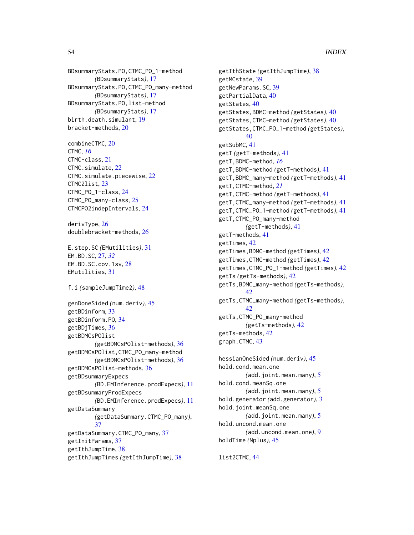BDsummaryStats.PO,CTMC\_PO\_1-method *(*BDsummaryStats*)*, [17](#page-16-0) BDsummaryStats.PO,CTMC\_PO\_many-method *(*BDsummaryStats*)*, [17](#page-16-0) BDsummaryStats.PO,list-method *(*BDsummaryStats*)*, [17](#page-16-0) birth.death.simulant, [19](#page-18-0) bracket-methods, [20](#page-19-0)

combineCTMC, [20](#page-19-0) CTMC, *[16](#page-15-0)* CTMC-class, [21](#page-20-0) CTMC.simulate, [22](#page-21-0) CTMC.simulate.piecewise, [22](#page-21-0) CTMC2list, [23](#page-22-0) CTMC\_PO\_1-class, [24](#page-23-0) CTMC\_PO\_many-class, [25](#page-24-0) CTMCPO2indepIntervals, [24](#page-23-0)

derivType, [26](#page-25-0) doublebracket-methods, [26](#page-25-0)

E.step.SC *(*EMutilities*)*, [31](#page-30-0) EM.BD.SC, [27,](#page-26-0) *[32](#page-31-0)* EM.BD.SC.cov.1sv, [28](#page-27-0) EMutilities, [31](#page-30-0)

```
f.i (sampleJumpTime2), 48
```
genDoneSided *(*num.deriv*)*, [45](#page-44-0) getBDinform, [33](#page-32-0) getBDinform.PO, [34](#page-33-0) getBDjTimes, [36](#page-35-0) getBDMCsPOlist *(*getBDMCsPOlist-methods*)*, [36](#page-35-0) getBDMCsPOlist,CTMC\_PO\_many-method *(*getBDMCsPOlist-methods*)*, [36](#page-35-0) getBDMCsPOlist-methods, [36](#page-35-0) getBDsummaryExpecs *(*BD.EMInference.prodExpecs*)*, [11](#page-10-0) getBDsummaryProdExpecs *(*BD.EMInference.prodExpecs*)*, [11](#page-10-0) getDataSummary *(*getDataSummary.CTMC\_PO\_many*)*, [37](#page-36-0) getDataSummary.CTMC\_PO\_many, [37](#page-36-0) getInitParams, [37](#page-36-0) getIthJumpTime, [38](#page-37-0) getIthJumpTimes *(*getIthJumpTime*)*, [38](#page-37-0)

getIthState *(*getIthJumpTime*)*, [38](#page-37-0) getMCstate, [39](#page-38-0) getNewParams.SC, [39](#page-38-0) getPartialData, [40](#page-39-0) getStates, [40](#page-39-0) getStates,BDMC-method *(*getStates*)*, [40](#page-39-0) getStates,CTMC-method *(*getStates*)*, [40](#page-39-0) getStates,CTMC\_PO\_1-method *(*getStates*)*, [40](#page-39-0) getSubMC, [41](#page-40-0) getT *(*getT-methods*)*, [41](#page-40-0) getT,BDMC-method, *[16](#page-15-0)* getT,BDMC-method *(*getT-methods*)*, [41](#page-40-0) getT,BDMC\_many-method *(*getT-methods*)*, [41](#page-40-0) getT,CTMC-method, *[21](#page-20-0)* getT,CTMC-method *(*getT-methods*)*, [41](#page-40-0) getT,CTMC\_many-method *(*getT-methods*)*, [41](#page-40-0) getT,CTMC\_PO\_1-method *(*getT-methods*)*, [41](#page-40-0) getT,CTMC\_PO\_many-method *(*getT-methods*)*, [41](#page-40-0) getT-methods, [41](#page-40-0) getTimes, [42](#page-41-0) getTimes,BDMC-method *(*getTimes*)*, [42](#page-41-0) getTimes,CTMC-method *(*getTimes*)*, [42](#page-41-0) getTimes,CTMC\_PO\_1-method *(*getTimes*)*, [42](#page-41-0) getTs *(*getTs-methods*)*, [42](#page-41-0) getTs,BDMC\_many-method *(*getTs-methods*)*, [42](#page-41-0) getTs,CTMC\_many-method *(*getTs-methods*)*, [42](#page-41-0) getTs,CTMC\_PO\_many-method *(*getTs-methods*)*, [42](#page-41-0) getTs-methods, [42](#page-41-0) graph.CTMC, [43](#page-42-0) hessianOneSided *(*num.deriv*)*, [45](#page-44-0) hold.cond.mean.one *(*add.joint.mean.many*)*, [5](#page-4-0) hold.cond.meanSq.one *(*add.joint.mean.many*)*, [5](#page-4-0) hold.generator *(*add.generator*)*, [3](#page-2-0) hold.joint.meanSq.one *(*add.joint.mean.many*)*, [5](#page-4-0) hold.uncond.mean.one *(*add.uncond.mean.one*)*, [9](#page-8-0)

list2CTMC, [44](#page-43-0)

holdTime *(*Nplus*)*, [45](#page-44-0)